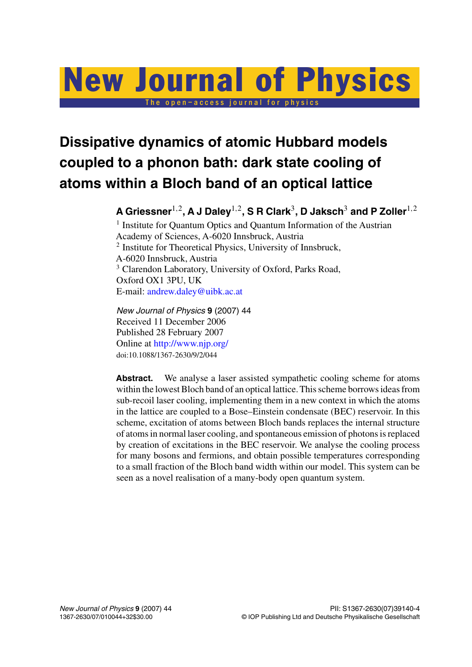# The open–access journal for physics New Journal of Physics

**Dissipative dynamics of atomic Hubbard models coupled to a phonon bath: dark state cooling of atoms within a Bloch band of an optical lattice**

> **A Griessner**1*,*2**, A J Daley**1*,*2**, S R Clark**3**, D Jaksch**<sup>3</sup> **and P Zoller**1*,*<sup>2</sup> <sup>1</sup> Institute for Quantum Optics and Quantum Information of the Austrian Academy of Sciences, A-6020 Innsbruck, Austria <sup>2</sup> Institute for Theoretical Physics, University of Innsbruck, A-6020 Innsbruck, Austria <sup>3</sup> Clarendon Laboratory, University of Oxford, Parks Road, Oxford OX1 3PU, UK E-mail: [andrew.daley@uibk.ac.at](mailto:andrew.daley@uibk.ac.at)

*New Journal of Physics* **9** (2007) 44 Received 11 December 2006 Published 28 February 2007 Online at <http://www.njp.org/> doi:10.1088/1367-2630/9/2/044

**Abstract.** We analyse a laser assisted sympathetic cooling scheme for atoms within the lowest Bloch band of an optical lattice. This scheme borrows ideas from sub-recoil laser cooling, implementing them in a new context in which the atoms in the lattice are coupled to a Bose–Einstein condensate (BEC) reservoir. In this scheme, excitation of atoms between Bloch bands replaces the internal structure of atoms in normal laser cooling, and spontaneous emission of photons is replaced by creation of excitations in the BEC reservoir. We analyse the cooling process for many bosons and fermions, and obtain possible temperatures corresponding to a small fraction of the Bloch band width within our model. This system can be seen as a novel realisation of a many-body open quantum system.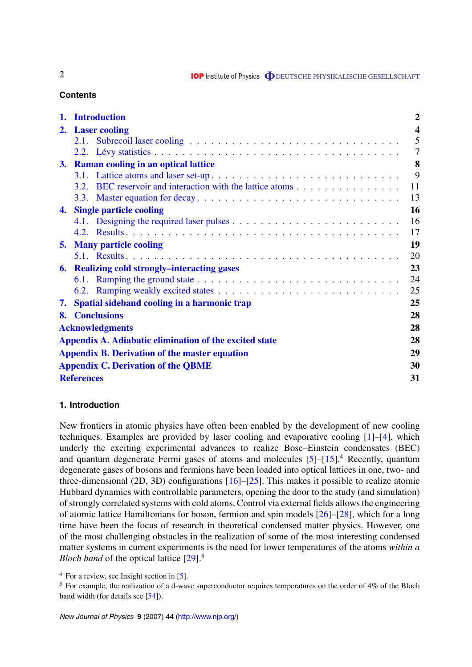## **Contents**

|                        | 1. Introduction                                               |                                        | $\overline{2}$          |
|------------------------|---------------------------------------------------------------|----------------------------------------|-------------------------|
|                        | 2. Laser cooling                                              |                                        | $\overline{\mathbf{4}}$ |
|                        |                                                               |                                        | 5                       |
|                        |                                                               |                                        | $\overline{7}$          |
|                        |                                                               | 3. Raman cooling in an optical lattice | 8                       |
|                        |                                                               |                                        | 9                       |
|                        |                                                               |                                        | 11                      |
|                        |                                                               |                                        | 13                      |
|                        | 4. Single particle cooling                                    |                                        | 16                      |
|                        |                                                               |                                        | 16                      |
|                        |                                                               |                                        | 17                      |
|                        |                                                               | 5. Many particle cooling               | 19                      |
|                        |                                                               |                                        | 20                      |
|                        | 6. Realizing cold strongly–interacting gases                  |                                        | 23                      |
|                        |                                                               |                                        | 24                      |
|                        |                                                               |                                        | 25                      |
| 7.                     | Spatial sideband cooling in a harmonic trap                   |                                        | 25                      |
| 8.                     | <b>Conclusions</b>                                            |                                        | 28                      |
| <b>Acknowledgments</b> |                                                               |                                        | 28                      |
|                        | <b>Appendix A. Adiabatic elimination of the excited state</b> |                                        |                         |
|                        | <b>Appendix B. Derivation of the master equation</b>          |                                        |                         |
|                        | <b>Appendix C. Derivation of the QBME</b>                     |                                        |                         |
|                        | <b>References</b>                                             |                                        |                         |

## **1. Introduction**

New frontiers in atomic physics have often been enabled by the development of new cooling techniques. Examples are provided by laser cooling and evaporative cooling [\[1](#page-30-0)]–[\[4](#page-30-0)], which underly the exciting experimental advances to realize Bose–Einstein condensates (BEC) and quantum degenerate Fermi gases of atoms and molecules  $[5]-[15]$  $[5]-[15]$  $[5]-[15]$  $[5]-[15]$ <sup>4</sup> Recently, quantum degenerate gases of bosons and fermions have been loaded into optical lattices in one, two- and three-dimensional (2D, 3D) configurations [\[16](#page-31-0)]–[\[25](#page-31-0)]. This makes it possible to realize atomic Hubbard dynamics with controllable parameters, opening the door to the study (and simulation) of strongly correlated systems with cold atoms. Control via external fields allows the engineering of atomic lattice Hamiltonians for boson, fermion and spin models [\[26\]](#page-31-0)–[[28\]](#page-31-0), which for a long time have been the focus of research in theoretical condensed matter physics. However, one of the most challenging obstacles in the realization of some of the most interesting condensed matter systems in current experiments is the need for lower temperatures of the atoms *within a Bloch band* of the optical lattice [[29\]](#page-31-0).<sup>5</sup>

 $<sup>4</sup>$  For a review, see Insight section in [\[5](#page-30-0)].</sup>

<sup>&</sup>lt;sup>5</sup> For example, the realization of a d-wave superconductor requires temperatures on the order of 4% of the Bloch band width (for details see [\[54](#page-31-0)]).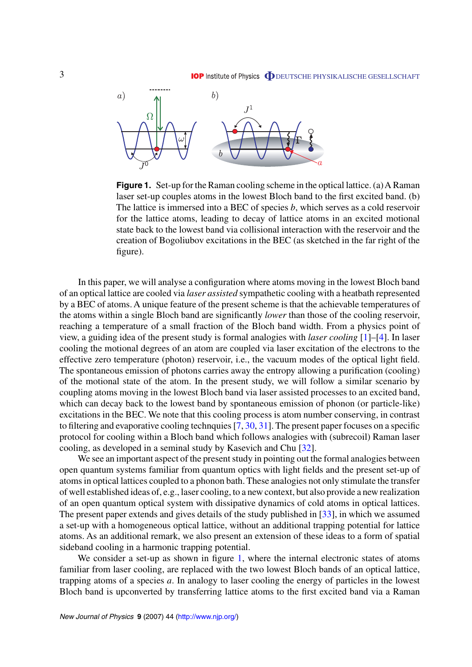

**Figure 1.** Set-up for the Raman cooling scheme in the optical lattice. (a) A Raman laser set-up couples atoms in the lowest Bloch band to the first excited band. (b) The lattice is immersed into a BEC of species *b*, which serves as a cold reservoir for the lattice atoms, leading to decay of lattice atoms in an excited motional state back to the lowest band via collisional interaction with the reservoir and the creation of Bogoliubov excitations in the BEC (as sketched in the far right of the figure).

In this paper, we will analyse a configuration where atoms moving in the lowest Bloch band of an optical lattice are cooled via *laser assisted* sympathetic cooling with a heatbath represented by a BEC of atoms. A unique feature of the present scheme is that the achievable temperatures of the atoms within a single Bloch band are significantly *lower* than those of the cooling reservoir, reaching a temperature of a small fraction of the Bloch band width. From a physics point of view, a guiding idea of the present study is formal analogies with *laser cooling* [\[1\]](#page-30-0)–[[4\]](#page-30-0). In laser cooling the motional degrees of an atom are coupled via laser excitation of the electrons to the effective zero temperature (photon) reservoir, i.e., the vacuum modes of the optical light field. The spontaneous emission of photons carries away the entropy allowing a purification (cooling) of the motional state of the atom. In the present study, we will follow a similar scenario by coupling atoms moving in the lowest Bloch band via laser assisted processes to an excited band, which can decay back to the lowest band by spontaneous emission of phonon (or particle-like) excitations in the BEC. We note that this cooling process is atom number conserving, in contrast to filtering and evaporative cooling technquies  $[7, 30, 31]$  $[7, 30, 31]$  $[7, 30, 31]$  $[7, 30, 31]$  $[7, 30, 31]$  $[7, 30, 31]$  $[7, 30, 31]$ . The present paper focuses on a specific protocol for cooling within a Bloch band which follows analogies with (subrecoil) Raman laser cooling, as developed in a seminal study by Kasevich and Chu [\[32](#page-31-0)].

We see an important aspect of the present study in pointing out the formal analogies between open quantum systems familiar from quantum optics with light fields and the present set-up of atoms in optical lattices coupled to a phonon bath. These analogies not only stimulate the transfer of well established ideas of, e.g., laser cooling, to a new context, but also provide a new realization of an open quantum optical system with dissipative dynamics of cold atoms in optical lattices. The present paper extends and gives details of the study published in [\[33](#page-31-0)], in which we assumed a set-up with a homogeneous optical lattice, without an additional trapping potential for lattice atoms. As an additional remark, we also present an extension of these ideas to a form of spatial sideband cooling in a harmonic trapping potential.

We consider a set-up as shown in figure 1, where the internal electronic states of atoms familiar from laser cooling, are replaced with the two lowest Bloch bands of an optical lattice, trapping atoms of a species *a*. In analogy to laser cooling the energy of particles in the lowest Bloch band is upconverted by transferring lattice atoms to the first excited band via a Raman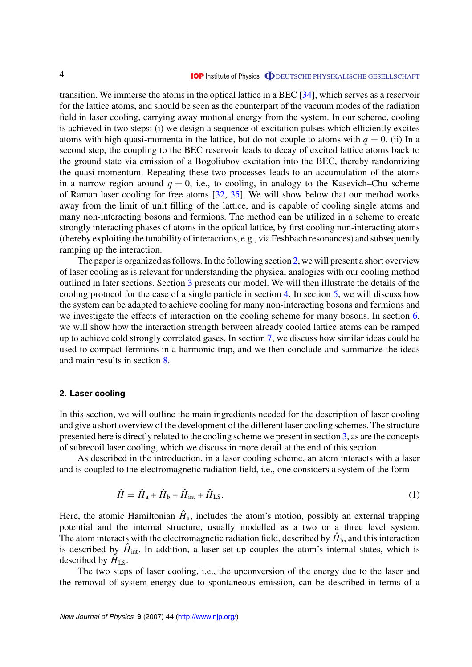<span id="page-3-0"></span>transition. We immerse the atoms in the optical lattice in a BEC [\[34](#page-31-0)], which serves as a reservoir for the lattice atoms, and should be seen as the counterpart of the vacuum modes of the radiation field in laser cooling, carrying away motional energy from the system. In our scheme, cooling is achieved in two steps: (i) we design a sequence of excitation pulses which efficiently excites atoms with high quasi-momenta in the lattice, but do not couple to atoms with  $q = 0$ . (ii) In a second step, the coupling to the BEC reservoir leads to decay of excited lattice atoms back to the ground state via emission of a Bogoliubov excitation into the BEC, thereby randomizing the quasi-momentum. Repeating these two processes leads to an accumulation of the atoms in a narrow region around  $q = 0$ , i.e., to cooling, in analogy to the Kasevich–Chu scheme of Raman laser cooling for free atoms [\[32](#page-31-0), [35](#page-31-0)]. We will show below that our method works away from the limit of unit filling of the lattice, and is capable of cooling single atoms and many non-interacting bosons and fermions. The method can be utilized in a scheme to create strongly interacting phases of atoms in the optical lattice, by first cooling non-interacting atoms (thereby exploiting the tunability of interactions, e.g., via Feshbach resonances) and subsequently ramping up the interaction.

The paper is organized as follows. In the following section 2, we will present a short overview of laser cooling as is relevant for understanding the physical analogies with our cooling method outlined in later sections. Section [3](#page-7-0) presents our model. We will then illustrate the details of the cooling protocol for the case of a single particle in section [4.](#page-15-0) In section [5](#page-18-0), we will discuss how the system can be adapted to achieve cooling for many non-interacting bosons and fermions and we investigate the effects of interaction on the cooling scheme for many bosons. In section [6](#page-22-0), we will show how the interaction strength between already cooled lattice atoms can be ramped up to achieve cold strongly correlated gases. In section [7,](#page-24-0) we discuss how similar ideas could be used to compact fermions in a harmonic trap, and we then conclude and summarize the ideas and main results in section [8](#page-27-0).

#### **2. Laser cooling**

In this section, we will outline the main ingredients needed for the description of laser cooling and give a short overview of the development of the different laser cooling schemes. The structure presented here is directly related to the cooling scheme we present in section [3](#page-7-0), as are the concepts of subrecoil laser cooling, which we discuss in more detail at the end of this section.

As described in the introduction, in a laser cooling scheme, an atom interacts with a laser and is coupled to the electromagnetic radiation field, i.e., one considers a system of the form

$$
\hat{H} = \hat{H}_a + \hat{H}_b + \hat{H}_{int} + \hat{H}_{LS}.
$$
\n(1)

Here, the atomic Hamiltonian  $\hat{H}_a$ , includes the atom's motion, possibly an external trapping potential and the internal structure, usually modelled as a two or a three level system. The atom interacts with the electromagnetic radiation field, described by  $\hat{H}_b$ , and this interaction is described by  $\hat{H}_{int}$ . In addition, a laser set-up couples the atom's internal states, which is described by  $H_{LS}$ .

The two steps of laser cooling, i.e., the upconversion of the energy due to the laser and the removal of system energy due to spontaneous emission, can be described in terms of a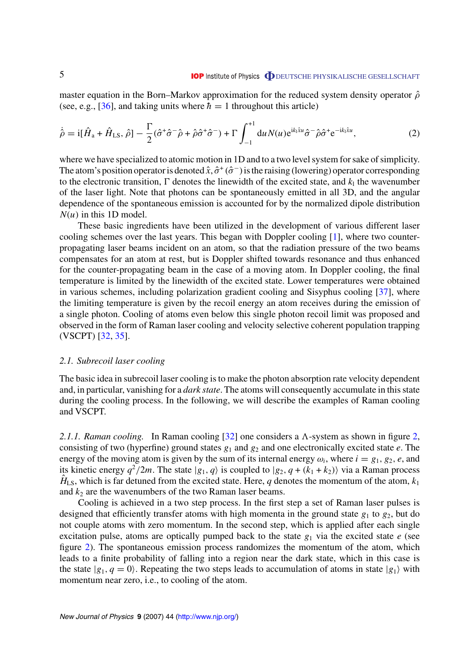<span id="page-4-0"></span>master equation in the Born–Markov approximation for the reduced system density operator  $\hat{\rho}$ (see, e.g., [\[36](#page-31-0)], and taking units where  $\hbar = 1$  throughout this article)

$$
\dot{\hat{\rho}} = i[\hat{H}_a + \hat{H}_{LS}, \hat{\rho}] - \frac{\Gamma}{2} (\hat{\sigma}^+ \hat{\sigma}^- \hat{\rho} + \hat{\rho} \hat{\sigma}^+ \hat{\sigma}^-) + \Gamma \int_{-1}^{+1} du N(u) e^{ik_l \hat{x} u} \hat{\sigma}^- \hat{\rho} \hat{\sigma}^+ e^{-ik_l \hat{x} u}, \tag{2}
$$

where we have specialized to atomic motion in 1D and to a two level system for sake of simplicity. The atom's position operator is denoted  $\hat{x}, \hat{\sigma}^+(\hat{\sigma}^-)$  is the raising (lowering) operator corresponding to the electronic transition,  $\Gamma$  denotes the linewidth of the excited state, and  $k_1$  the wavenumber of the laser light. Note that photons can be spontaneously emitted in all 3D, and the angular dependence of the spontaneous emission is accounted for by the normalized dipole distribution  $N(u)$  in this 1D model.

These basic ingredients have been utilized in the development of various different laser cooling schemes over the last years. This began with Doppler cooling [\[1](#page-30-0)], where two counterpropagating laser beams incident on an atom, so that the radiation pressure of the two beams compensates for an atom at rest, but is Doppler shifted towards resonance and thus enhanced for the counter-propagating beam in the case of a moving atom. In Doppler cooling, the final temperature is limited by the linewidth of the excited state. Lower temperatures were obtained in various schemes, including polarization gradient cooling and Sisyphus cooling [\[37](#page-31-0)], where the limiting temperature is given by the recoil energy an atom receives during the emission of a single photon. Cooling of atoms even below this single photon recoil limit was proposed and observed in the form of Raman laser cooling and velocity selective coherent population trapping (VSCPT) [\[32](#page-31-0), [35](#page-31-0)].

## *2.1. Subrecoil laser cooling*

The basic idea in subrecoil laser cooling is to make the photon absorption rate velocity dependent and, in particular, vanishing for a *dark state*. The atoms will consequently accumulate in this state during the cooling process. In the following, we will describe the examples of Raman cooling and VSCPT.

[2](#page-5-0).1.1. Raman cooling. In Raman cooling  $[32]$  $[32]$  one considers a  $\Lambda$ -system as shown in figure 2, consisting of two (hyperfine) ground states *g*<sup>1</sup> and *g*<sup>2</sup> and one electronically excited state *e*. The energy of the moving atom is given by the sum of its internal energy  $\omega_i$ , where  $i = g_1, g_2, e$ , and its kinetic energy  $q^2/2m$ . The state  $|g_1, q\rangle$  is coupled to  $|g_2, q + (k_1 + k_2)\rangle$  via a Raman process  $H<sub>LS</sub>$ , which is far detuned from the excited state. Here, *q* denotes the momentum of the atom,  $k_1$ and  $k_2$  are the wavenumbers of the two Raman laser beams.

Cooling is achieved in a two step process. In the first step a set of Raman laser pulses is designed that efficiently transfer atoms with high momenta in the ground state  $g_1$  to  $g_2$ , but do not couple atoms with zero momentum. In the second step, which is applied after each single excitation pulse, atoms are optically pumped back to the state  $g_1$  via the excited state  $e$  (see figure [2](#page-5-0)). The spontaneous emission process randomizes the momentum of the atom, which leads to a finite probability of falling into a region near the dark state, which in this case is the state  $|g_1, q = 0\rangle$ . Repeating the two steps leads to accumulation of atoms in state  $|g_1\rangle$  with momentum near zero, i.e., to cooling of the atom.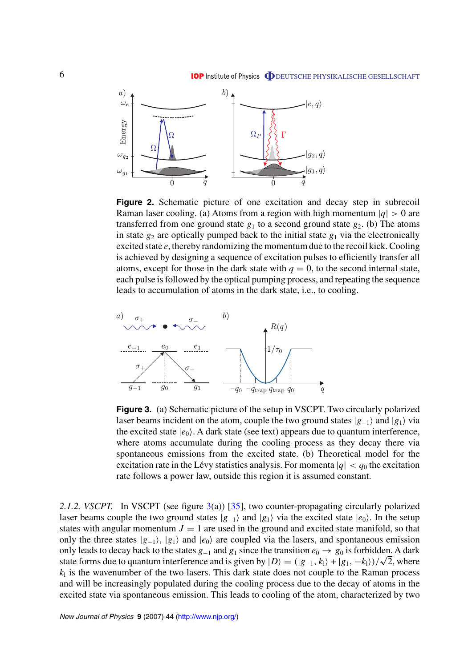<span id="page-5-0"></span>

**Figure 2.** Schematic picture of one excitation and decay step in subrecoil Raman laser cooling. (a) Atoms from a region with high momentum  $|q| > 0$  are transferred from one ground state  $g_1$  to a second ground state  $g_2$ . (b) The atoms in state  $g_2$  are optically pumped back to the initial state  $g_1$  via the electronically excited state *e*, thereby randomizing the momentum due to the recoil kick. Cooling is achieved by designing a sequence of excitation pulses to efficiently transfer all atoms, except for those in the dark state with  $q = 0$ , to the second internal state, each pulse is followed by the optical pumping process, and repeating the sequence leads to accumulation of atoms in the dark state, i.e., to cooling.



**Figure 3.** (a) Schematic picture of the setup in VSCPT. Two circularly polarized laser beams incident on the atom, couple the two ground states  $|g_{-1}\rangle$  and  $|g_1\rangle$  via the excited state  $|e_0\rangle$ . A dark state (see text) appears due to quantum interference, where atoms accumulate during the cooling process as they decay there via spontaneous emissions from the excited state. (b) Theoretical model for the excitation rate in the Lévy statistics analysis. For momenta  $|q| < q_0$  the excitation rate follows a power law, outside this region it is assumed constant.

*2.1.2. VSCPT.* In VSCPT (see figure 3(a)) [\[35](#page-31-0)], two counter-propagating circularly polarized laser beams couple the two ground states  $|g_{-1}\rangle$  and  $|g_1\rangle$  via the excited state  $|e_0\rangle$ . In the setup states with angular momentum  $J = 1$  are used in the ground and excited state manifold, so that only the three states  $|g_{-1}\rangle$ ,  $|g_1\rangle$  and  $|e_0\rangle$  are coupled via the lasers, and spontaneous emission only leads to decay back to the states *g*<sup>−</sup><sup>1</sup> and *g*<sup>1</sup> since the transition *e*<sup>0</sup> → *g*<sup>0</sup> is forbidden. A dark state forms due to quantum interference and is given by  $|D\rangle = (|g_{-1}, k_1\rangle + |g_1, -k_1\rangle)/\sqrt{2}$ , where  $k<sub>1</sub>$  is the wavenumber of the two lasers. This dark state does not couple to the Raman process and will be increasingly populated during the cooling process due to the decay of atoms in the excited state via spontaneous emission. This leads to cooling of the atom, characterized by two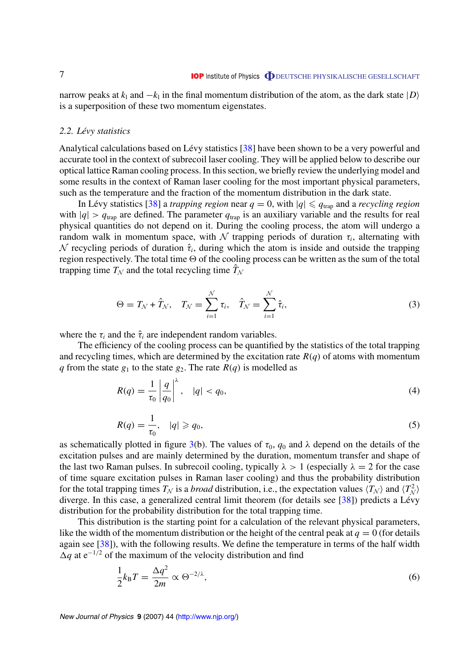<span id="page-6-0"></span>narrow peaks at  $k_1$  and  $-k_1$  in the final momentum distribution of the atom, as the dark state  $|D\rangle$ is a superposition of these two momentum eigenstates.

#### *2.2. L´evy statistics*

Analytical calculations based on Lévy statistics [\[38](#page-31-0)] have been shown to be a very powerful and accurate tool in the context of subrecoil laser cooling. They will be applied below to describe our optical lattice Raman cooling process. In this section, we briefly review the underlying model and some results in the context of Raman laser cooling for the most important physical parameters, such as the temperature and the fraction of the momentum distribution in the dark state.

In Lévy statistics [[38\]](#page-31-0) a *trapping region* near  $q = 0$ , with  $|q| \leq q_{trap}$  and a *recycling region* with  $|q| > q_{trap}$  are defined. The parameter  $q_{trap}$  is an auxiliary variable and the results for real physical quantities do not depend on it. During the cooling process, the atom will undergo a random walk in momentum space, with N trapping periods of duration  $\tau_i$ , alternating with  $\mathcal N$  recycling periods of duration  $\hat \tau_i$ , during which the atom is inside and outside the trapping region respectively. The total time  $\Theta$  of the cooling process can be written as the sum of the total trapping time  $T_N$  and the total recycling time  $\hat{T}_N$ 

$$
\Theta = T_N + \hat{T}_N, \quad T_N = \sum_{i=1}^N \tau_i, \quad \hat{T}_N = \sum_{i=1}^N \hat{\tau}_i,
$$
\n(3)

where the  $\tau_i$  and the  $\hat{\tau}_i$  are independent random variables.

The efficiency of the cooling process can be quantified by the statistics of the total trapping and recycling times, which are determined by the excitation rate  $R(q)$  of atoms with momentum *q* from the state  $g_1$  to the state  $g_2$ . The rate  $R(q)$  is modelled as

$$
R(q) = \frac{1}{\tau_0} \left| \frac{q}{q_0} \right|^{\lambda}, \quad |q| < q_0,\tag{4}
$$

$$
R(q) = \frac{1}{\tau_0}, \quad |q| \geqslant q_0,\tag{5}
$$

as schematically plotted in figure [3\(](#page-5-0)b). The values of  $\tau_0$ ,  $q_0$  and  $\lambda$  depend on the details of the excitation pulses and are mainly determined by the duration, momentum transfer and shape of the last two Raman pulses. In subrecoil cooling, typically  $\lambda > 1$  (especially  $\lambda = 2$  for the case of time square excitation pulses in Raman laser cooling) and thus the probability distribution for the total trapping times  $T_N$  is a *broad* distribution, i.e., the expectation values  $\langle T_N \rangle$  and  $\langle T_N^2 \rangle$ diverge. In this case, a generalized central limit theorem (for details see  $[38]$  $[38]$ ) predicts a Lévy distribution for the probability distribution for the total trapping time.

This distribution is the starting point for a calculation of the relevant physical parameters, like the width of the momentum distribution or the height of the central peak at  $q = 0$  (for details again see [\[38\]](#page-31-0)), with the following results. We define the temperature in terms of the half width  $\Delta q$  at e<sup>-1/2</sup> of the maximum of the velocity distribution and find

$$
\frac{1}{2}k_{\rm B}T = \frac{\Delta q^2}{2m} \propto \Theta^{-2/\lambda},\tag{6}
$$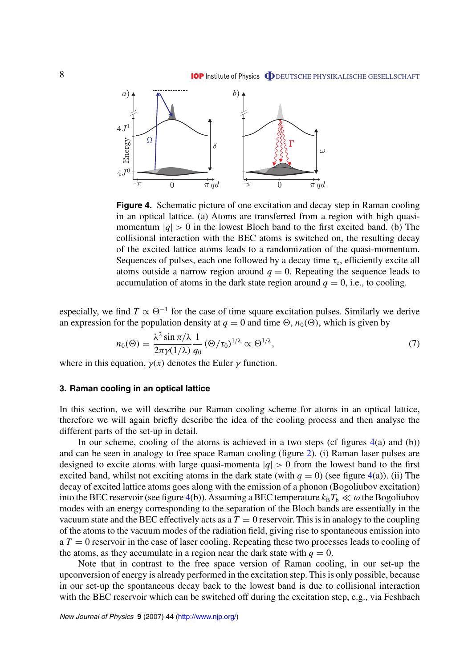<span id="page-7-0"></span>

**Figure 4.** Schematic picture of one excitation and decay step in Raman cooling in an optical lattice. (a) Atoms are transferred from a region with high quasimomentum  $|q| > 0$  in the lowest Bloch band to the first excited band. (b) The collisional interaction with the BEC atoms is switched on, the resulting decay of the excited lattice atoms leads to a randomization of the quasi-momentum. Sequences of pulses, each one followed by a decay time  $\tau_c$ , efficiently excite all atoms outside a narrow region around  $q = 0$ . Repeating the sequence leads to accumulation of atoms in the dark state region around  $q = 0$ , i.e., to cooling.

especially, we find  $T \propto \Theta^{-1}$  for the case of time square excitation pulses. Similarly we derive an expression for the population density at  $q = 0$  and time  $\Theta$ ,  $n_0(\Theta)$ , which is given by

$$
n_0(\Theta) = \frac{\lambda^2 \sin \pi / \lambda}{2\pi \gamma (1/\lambda)} \frac{1}{q_0} \left(\Theta / \tau_0\right)^{1/\lambda} \propto \Theta^{1/\lambda},\tag{7}
$$

where in this equation,  $\gamma(x)$  denotes the Euler  $\gamma$  function.

#### **3. Raman cooling in an optical lattice**

In this section, we will describe our Raman cooling scheme for atoms in an optical lattice, therefore we will again briefly describe the idea of the cooling process and then analyse the different parts of the set-up in detail.

In our scheme, cooling of the atoms is achieved in a two steps (cf figures  $4(a)$  and (b)) and can be seen in analogy to free space Raman cooling (figure [2\)](#page-5-0). (i) Raman laser pulses are designed to excite atoms with large quasi-momenta  $|q| > 0$  from the lowest band to the first excited band, whilst not exciting atoms in the dark state (with  $q = 0$ ) (see figure 4(a)). (ii) The decay of excited lattice atoms goes along with the emission of a phonon (Bogoliubov excitation) into the BEC reservoir (see figure 4(b)). Assuming a BEC temperature  $k_B T_b \ll \omega$  the Bogoliubov modes with an energy corresponding to the separation of the Bloch bands are essentially in the vacuum state and the BEC effectively acts as a  $T = 0$  reservoir. This is in analogy to the coupling of the atoms to the vacuum modes of the radiation field, giving rise to spontaneous emission into  $a T = 0$  reservoir in the case of laser cooling. Repeating these two processes leads to cooling of the atoms, as they accumulate in a region near the dark state with  $q = 0$ .

Note that in contrast to the free space version of Raman cooling, in our set-up the upconversion of energy is already performed in the excitation step. This is only possible, because in our set-up the spontaneous decay back to the lowest band is due to collisional interaction with the BEC reservoir which can be switched off during the excitation step, e.g., via Feshbach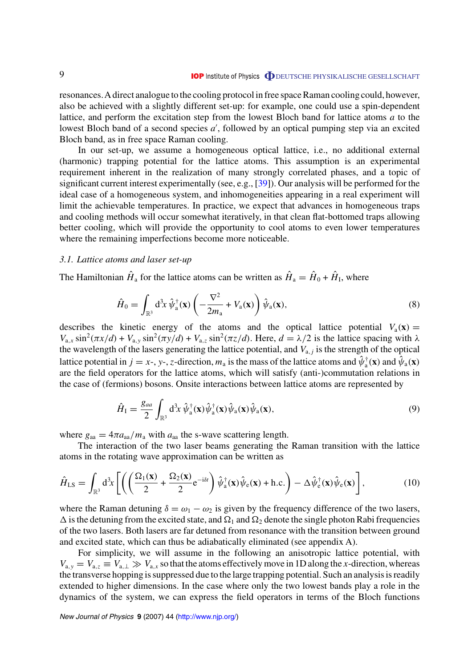<span id="page-8-0"></span>resonances.A direct analogue to the cooling protocol in free space Raman cooling could, however, also be achieved with a slightly different set-up: for example, one could use a spin-dependent lattice, and perform the excitation step from the lowest Bloch band for lattice atoms *a* to the lowest Bloch band of a second species a', followed by an optical pumping step via an excited Bloch band, as in free space Raman cooling.

In our set-up, we assume a homogeneous optical lattice, i.e., no additional external (harmonic) trapping potential for the lattice atoms. This assumption is an experimental requirement inherent in the realization of many strongly correlated phases, and a topic of significant current interest experimentally (see, e.g., [\[39](#page-31-0)]). Our analysis will be performed for the ideal case of a homogeneous system, and inhomogeneities appearing in a real experiment will limit the achievable temperatures. In practice, we expect that advances in homogeneous traps and cooling methods will occur somewhat iteratively, in that clean flat-bottomed traps allowing better cooling, which will provide the opportunity to cool atoms to even lower temperatures where the remaining imperfections become more noticeable.

#### *3.1. Lattice atoms and laser set-up*

The Hamiltonian  $\hat{H}_a$  for the lattice atoms can be written as  $\hat{H}_a = \hat{H}_0 + \hat{H}_1$ , where

$$
\hat{H}_0 = \int_{\mathbb{R}^3} d^3x \,\hat{\psi}_a^{\dagger}(\mathbf{x}) \left( -\frac{\nabla^2}{2m_a} + V_a(\mathbf{x}) \right) \hat{\psi}_a(\mathbf{x}),\tag{8}
$$

describes the kinetic energy of the atoms and the optical lattice potential  $V_a(\mathbf{x}) =$  $V_{a,x}$  sin<sup>2</sup> $(\pi x/d) + V_{a,y}$  sin<sup>2</sup> $(\pi y/d) + V_{a,z}$  sin<sup>2</sup> $(\pi z/d)$ . Here,  $d = \lambda/2$  is the lattice spacing with  $\lambda$ the wavelength of the lasers generating the lattice potential, and  $V_{a,j}$  is the strength of the optical lattice potential in  $j = x$ -, *y*-, *z*-direction,  $m_a$  is the mass of the lattice atoms and  $\hat{\psi}_a^{\dagger}(\bf{x})$  and  $\hat{\psi}_a(\bf{x})$ are the field operators for the lattice atoms, which will satisfy (anti-)commutation relations in the case of (fermions) bosons. Onsite interactions between lattice atoms are represented by

$$
\hat{H}_{\rm I} = \frac{g_{aa}}{2} \int_{\mathbb{R}^3} d^3x \,\hat{\psi}_a^{\dagger}(\mathbf{x}) \hat{\psi}_a^{\dagger}(\mathbf{x}) \hat{\psi}_a(\mathbf{x}) \hat{\psi}_a(\mathbf{x}), \tag{9}
$$

where  $g_{aa} = 4\pi a_{aa}/m_a$  with  $a_{aa}$  the s-wave scattering length.

The interaction of the two laser beams generating the Raman transition with the lattice atoms in the rotating wave approximation can be written as

$$
\hat{H}_{\text{LS}} = \int_{\mathbb{R}^3} d^3x \left[ \left( \left( \frac{\Omega_1(\mathbf{x})}{2} + \frac{\Omega_2(\mathbf{x})}{2} e^{-i\delta t} \right) \hat{\psi}_a^{\dagger}(\mathbf{x}) \hat{\psi}_e(\mathbf{x}) + \text{h.c.} \right) - \Delta \hat{\psi}_e^{\dagger}(\mathbf{x}) \hat{\psi}_e(\mathbf{x}) \right],\tag{10}
$$

where the Raman detuning  $\delta = \omega_1 - \omega_2$  is given by the frequency difference of the two lasers,  $\Delta$  is the detuning from the excited state, and  $\Omega_1$  and  $\Omega_2$  denote the single photon Rabi frequencies of the two lasers. Both lasers are far detuned from resonance with the transition between ground and excited state, which can thus be adiabatically eliminated (see appendix A).

For simplicity, we will assume in the following an anisotropic lattice potential, with  $V_{a,y} = V_{a,z} \equiv V_{a,\perp} \gg V_{a,x}$  so that the atoms effectively move in 1D along the *x*-direction, whereas the transverse hopping is suppressed due to the large trapping potential. Such an analysis is readily extended to higher dimensions. In the case where only the two lowest bands play a role in the dynamics of the system, we can express the field operators in terms of the Bloch functions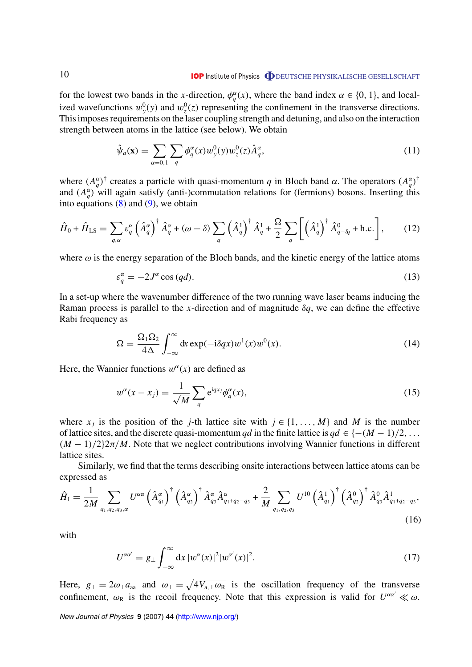<span id="page-9-0"></span>for the lowest two bands in the *x*-direction,  $\phi_q^{\alpha}(x)$ , where the band index  $\alpha \in \{0, 1\}$ , and localized wavefunctions  $w_y^0(y)$  and  $w_z^0(z)$  representing the confinement in the transverse directions. This imposes requirements on the laser coupling strength and detuning, and also on the interaction strength between atoms in the lattice (see below). We obtain

$$
\hat{\psi}_a(\mathbf{x}) = \sum_{\alpha=0,1} \sum_q \phi_q^{\alpha}(x) w_y^0(y) w_z^0(z) \hat{A}_q^{\alpha},\tag{11}
$$

where  $(A_q^{\alpha})^{\dagger}$  creates a particle with quasi-momentum *q* in Bloch band *α*. The operators  $(A_q^{\alpha})^{\dagger}$ and  $(A_q^{\alpha})$  will again satisfy (anti-)commutation relations for (fermions) bosons. Inserting this into equations  $(8)$  $(8)$  and  $(9)$  $(9)$ , we obtain

$$
\hat{H}_0 + \hat{H}_{LS} = \sum_{q,\alpha} \varepsilon_q^{\alpha} \left( \hat{A}_q^{\alpha} \right)^{\dagger} \hat{A}_q^{\alpha} + (\omega - \delta) \sum_q \left( \hat{A}_q^1 \right)^{\dagger} \hat{A}_q^1 + \frac{\Omega}{2} \sum_q \left[ \left( \hat{A}_q^1 \right)^{\dagger} \hat{A}_{q-\delta q}^0 + \text{h.c.} \right],\tag{12}
$$

where  $\omega$  is the energy separation of the Bloch bands, and the kinetic energy of the lattice atoms

$$
\varepsilon_q^{\alpha} = -2J^{\alpha}\cos\left(qd\right). \tag{13}
$$

In a set-up where the wavenumber difference of the two running wave laser beams inducing the Raman process is parallel to the *x*-direction and of magnitude  $\delta q$ , we can define the effective Rabi frequency as

$$
\Omega = \frac{\Omega_1 \Omega_2}{4\Delta} \int_{-\infty}^{\infty} dx \exp(-i\delta qx) w^1(x) w^0(x).
$$
 (14)

Here, the Wannier functions  $w^{\alpha}(x)$  are defined as

$$
w^{\alpha}(x - x_j) = \frac{1}{\sqrt{M}} \sum_{q} e^{iqx_j} \phi_q^{\alpha}(x), \qquad (15)
$$

where  $x_j$  is the position of the *j*-th lattice site with  $j \in \{1, ..., M\}$  and M is the number of lattice sites, and the discrete quasi-momentum *qd* in the finite lattice is  $qd \in \{- (M - 1)/2, \ldots\}$  $(M-1)/2$  $\frac{2\pi}{M}$ . Note that we neglect contributions involving Wannier functions in different lattice sites.

Similarly, we find that the terms describing onsite interactions between lattice atoms can be expressed as

$$
\hat{H}_{\rm I} = \frac{1}{2M} \sum_{q_1, q_2, q_3, \alpha} U^{\alpha \alpha} \left( \hat{A}_{q_1}^{\alpha} \right)^{\dagger} \left( \hat{A}_{q_2}^{\alpha} \right)^{\dagger} \hat{A}_{q_3}^{\alpha} \hat{A}_{q_1 + q_2 - q_3}^{\alpha} + \frac{2}{M} \sum_{q_1, q_2, q_3} U^{10} \left( \hat{A}_{q_1}^1 \right)^{\dagger} \left( \hat{A}_{q_2}^0 \right)^{\dagger} \hat{A}_{q_3}^0 \hat{A}_{q_1 + q_2 - q_3}^1, \tag{16}
$$

with

$$
U^{\alpha\alpha'} = g_{\perp} \int_{-\infty}^{\infty} dx \, |w^{\alpha}(x)|^2 |w^{\alpha'}(x)|^2. \tag{17}
$$

Here,  $g_{\perp} = 2\omega_{\perp}a_{aa}$  and  $\omega_{\perp} = \sqrt{4V_{a,\perp}\omega_{R}}$  is the oscillation frequency of the transverse confinement,  $\omega_R$  is the recoil frequency. Note that this expression is valid for  $U^{\alpha\alpha'} \ll \omega$ .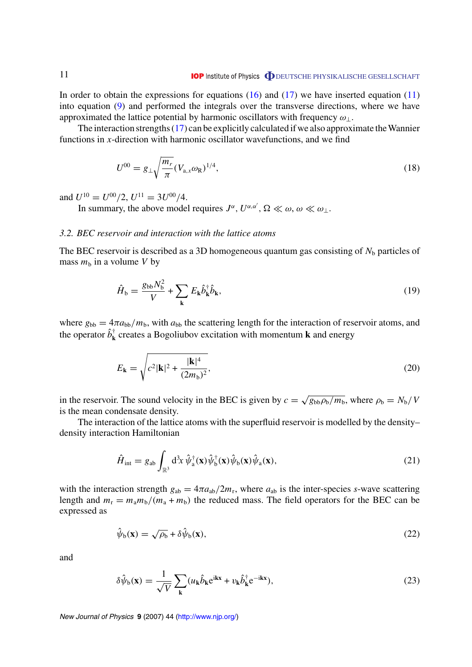<span id="page-10-0"></span>In order to obtain the expressions for equations  $(16)$  $(16)$  and  $(17)$  we have inserted equation  $(11)$  $(11)$ into equation ([9\)](#page-8-0) and performed the integrals over the transverse directions, where we have approximated the lattice potential by harmonic oscillators with frequency *ω*⊥.

The interaction strengths [\(17](#page-9-0)) can be explicitly calculated if we also approximate theWannier functions in *x*-direction with harmonic oscillator wavefunctions, and we find

$$
U^{00} = g_{\perp} \sqrt{\frac{m_r}{\pi}} (V_{\mathbf{a},x} \omega_{\mathbf{R}})^{1/4},\tag{18}
$$

and  $U^{10} = U^{00}/2$ ,  $U^{11} = 3U^{00}/4$ .

In summary, the above model requires  $J^{\alpha}$ ,  $U^{\alpha,\alpha'}$ ,  $\Omega \ll \omega$ ,  $\omega \ll \omega_{\perp}$ .

#### *3.2. BEC reservoir and interaction with the lattice atoms*

The BEC reservoir is described as a 3D homogeneous quantum gas consisting of  $N<sub>b</sub>$  particles of mass  $m<sub>b</sub>$  in a volume *V* by

$$
\hat{H}_{\rm b} = \frac{g_{\rm bb} N_{\rm b}^2}{V} + \sum_{\mathbf{k}} E_{\mathbf{k}} \hat{b}_{\mathbf{k}}^{\dagger} \hat{b}_{\mathbf{k}},\tag{19}
$$

where  $g_{bb} = 4\pi a_{bb}/m_b$ , with  $a_{bb}$  the scattering length for the interaction of reservoir atoms, and the operator  $\hat{b}^{\dagger}_{\mathbf{k}}$  creates a Bogoliubov excitation with momentum **k** and energy

$$
E_{\mathbf{k}} = \sqrt{c^2 |\mathbf{k}|^2 + \frac{|\mathbf{k}|^4}{(2m_b)^2}},
$$
\n(20)

in the reservoir. The sound velocity in the BEC is given by  $c = \sqrt{g_{bb}\rho_b/m_b}$ , where  $\rho_b = N_b/V$ is the mean condensate density.

The interaction of the lattice atoms with the superfluid reservoir is modelled by the density– density interaction Hamiltonian

$$
\hat{H}_{\text{int}} = g_{ab} \int_{\mathbb{R}^3} d^3x \,\hat{\psi}_a^{\dagger}(\mathbf{x}) \hat{\psi}_b^{\dagger}(\mathbf{x}) \hat{\psi}_b(\mathbf{x}) \hat{\psi}_a(\mathbf{x}), \tag{21}
$$

with the interaction strength  $g_{ab} = 4\pi a_{ab}/2m_r$ , where  $a_{ab}$  is the inter-species *s*-wave scattering length and  $m_r = m_a m_b/(m_a + m_b)$  the reduced mass. The field operators for the BEC can be expressed as

$$
\hat{\psi}_{b}(\mathbf{x}) = \sqrt{\rho_b} + \delta \hat{\psi}_{b}(\mathbf{x}),\tag{22}
$$

and

$$
\delta\hat{\psi}_{b}(\mathbf{x}) = \frac{1}{\sqrt{V}} \sum_{\mathbf{k}} (u_{\mathbf{k}} \hat{b}_{\mathbf{k}} e^{i\mathbf{k}\mathbf{x}} + v_{\mathbf{k}} \hat{b}_{\mathbf{k}}^{\dagger} e^{-i\mathbf{k}\mathbf{x}}),
$$
\n(23)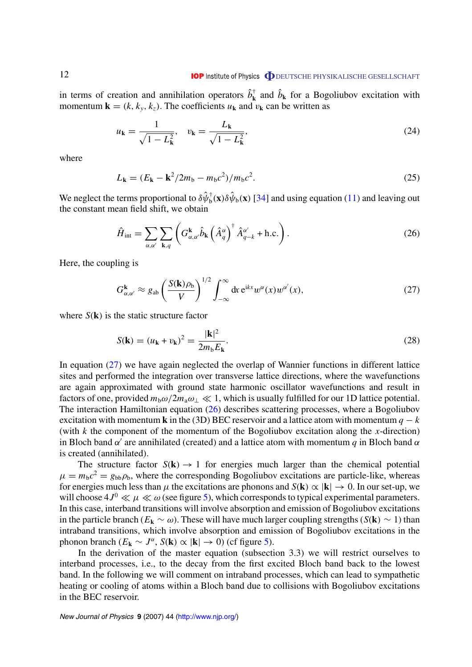<span id="page-11-0"></span>in terms of creation and annihilation operators  $\hat{b}_k^{\dagger}$  and  $\hat{b}_k$  for a Bogoliubov excitation with momentum  $\mathbf{k} = (k, k_y, k_z)$ . The coefficients  $u_{\mathbf{k}}$  and  $v_{\mathbf{k}}$  can be written as

$$
u_{\mathbf{k}} = \frac{1}{\sqrt{1 - L_{\mathbf{k}}^2}}, \quad v_{\mathbf{k}} = \frac{L_{\mathbf{k}}}{\sqrt{1 - L_{\mathbf{k}}^2}},\tag{24}
$$

where

$$
L_{\mathbf{k}} = (E_{\mathbf{k}} - \mathbf{k}^2 / 2m_{\mathbf{b}} - m_{\mathbf{b}}c^2) / m_{\mathbf{b}}c^2.
$$
 (25)

We neglect the terms proportional to  $\delta \hat{\psi}^{\dagger}_b(\bf{x}) \delta \hat{\psi}_b(\bf{x})$  [\[34](#page-31-0)] and using equation ([11\)](#page-9-0) and leaving out the constant mean field shift, we obtain

$$
\hat{H}_{\text{int}} = \sum_{\alpha,\alpha'} \sum_{\mathbf{k},q} \left( G_{\alpha,\alpha'}^{\mathbf{k}} \hat{b}_{\mathbf{k}} \left( \hat{A}_{q}^{\alpha} \right)^{\dagger} \hat{A}_{q-k}^{\alpha'} + \text{h.c.} \right). \tag{26}
$$

Here, the coupling is

$$
G_{\alpha,\alpha'}^{k} \approx g_{ab} \left(\frac{S(k)\rho_b}{V}\right)^{1/2} \int_{-\infty}^{\infty} dx e^{ikx} w^{\alpha}(x) w^{\alpha'}(x), \qquad (27)
$$

where  $S(\mathbf{k})$  is the static structure factor

$$
S(\mathbf{k}) = (u_{\mathbf{k}} + v_{\mathbf{k}})^2 = \frac{|\mathbf{k}|^2}{2m_{\mathbf{b}}E_{\mathbf{k}}}.
$$
\n(28)

In equation (27) we have again neglected the overlap of Wannier functions in different lattice sites and performed the integration over transverse lattice directions, where the wavefunctions are again approximated with ground state harmonic oscillator wavefunctions and result in factors of one, provided  $m_b\omega/2m_a\omega_1 \ll 1$ , which is usually fulfilled for our 1D lattice potential. The interaction Hamiltonian equation (26) describes scattering processes, where a Bogoliubov excitation with momentum **k** in the (3D) BEC reservoir and a lattice atom with momentum  $q - k$ (with *k* the component of the momentum of the Bogoliubov excitation along the *x*-direction) in Bloch band  $\alpha'$  are annihilated (created) and a lattice atom with momentum *q* in Bloch band  $\alpha$ is created (annihilated).

The structure factor  $S(\mathbf{k}) \rightarrow 1$  for energies much larger than the chemical potential  $\mu = m_b c^2 = g_{bb} \rho_b$ , where the corresponding Bogoliubov excitations are particle-like, whereas for energies much less than  $\mu$  the excitations are phonons and  $S(\mathbf{k}) \propto |\mathbf{k}| \to 0$ . In our set-up, we will choose  $4J^0 \ll \mu \ll \omega$  (see figure [5](#page-12-0)), which corresponds to typical experimental parameters. In this case, interband transitions will involve absorption and emission of Bogoliubov excitations in the particle branch ( $E_k \sim \omega$ ). These will have much larger coupling strengths ( $S(\mathbf{k}) \sim 1$ ) than intraband transitions, which involve absorption and emission of Bogoliubov excitations in the phonon branch ( $E_k \sim J^{\alpha}$ ,  $S(\mathbf{k}) \propto |\mathbf{k}| \rightarrow 0$ ) (cf figure [5\)](#page-12-0).

In the derivation of the master equation (subsection 3.3) we will restrict ourselves to interband processes, i.e., to the decay from the first excited Bloch band back to the lowest band. In the following we will comment on intraband processes, which can lead to sympathetic heating or cooling of atoms within a Bloch band due to collisions with Bogoliubov excitations in the BEC reservoir.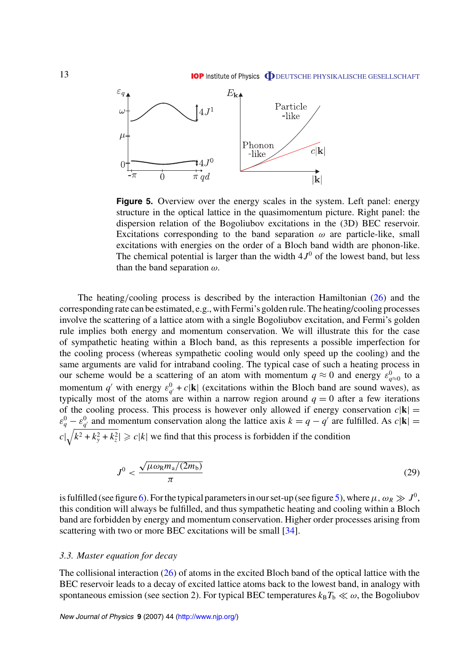<span id="page-12-0"></span>

Figure 5. Overview over the energy scales in the system. Left panel: energy structure in the optical lattice in the quasimomentum picture. Right panel: the dispersion relation of the Bogoliubov excitations in the (3D) BEC reservoir. Excitations corresponding to the band separation *ω* are particle-like, small excitations with energies on the order of a Bloch band width are phonon-like. The chemical potential is larger than the width  $4J<sup>0</sup>$  of the lowest band, but less than the band separation *ω*.

The heating*/*cooling process is described by the interaction Hamiltonian [\(26](#page-11-0)) and the corresponding rate can be estimated, e.g., with Fermi's golden rule. The heating/cooling processes involve the scattering of a lattice atom with a single Bogoliubov excitation, and Fermi's golden rule implies both energy and momentum conservation. We will illustrate this for the case of sympathetic heating within a Bloch band, as this represents a possible imperfection for the cooling process (whereas sympathetic cooling would only speed up the cooling) and the same arguments are valid for intraband cooling. The typical case of such a heating process in our scheme would be a scattering of an atom with momentum  $q \approx 0$  and energy  $\varepsilon_{q\approx 0}^0$  to a momentum *q'* with energy  $\varepsilon_{q'}^0 + c|\mathbf{k}|$  (excitations within the Bloch band are sound waves), as typically most of the atoms are within a narrow region around  $q = 0$  after a few iterations of the cooling process. This process is however only allowed if energy conservation  $c|\mathbf{k}| =$  $\varepsilon_q^0 - \varepsilon_{q'}^0$  and momentum conservation along the lattice axis  $k = q - q'$  are fulfilled. As *c*|**k**| =  $|c|\sqrt{k^2 + k_y^2 + k_z^2}| \geqslant c|k|$  we find that this process is forbidden if the condition

$$
J^0 < \frac{\sqrt{\mu \omega_{\rm R} m_{\rm a} / (2m_{\rm b})}}{\pi} \tag{29}
$$

is fulfilled (see figure [6\)](#page-13-0). For the typical parameters in our set-up (see figure 5), where  $\mu$ ,  $\omega_R \gg J^0$ , this condition will always be fulfilled, and thus sympathetic heating and cooling within a Bloch band are forbidden by energy and momentum conservation. Higher order processes arising from scattering with two or more BEC excitations will be small [[34\]](#page-31-0).

#### *3.3. Master equation for decay*

The collisional interaction  $(26)$  $(26)$  of atoms in the excited Bloch band of the optical lattice with the BEC reservoir leads to a decay of excited lattice atoms back to the lowest band, in analogy with spontaneous emission (see section 2). For typical BEC temperatures  $k_B T_b \ll \omega$ , the Bogoliubov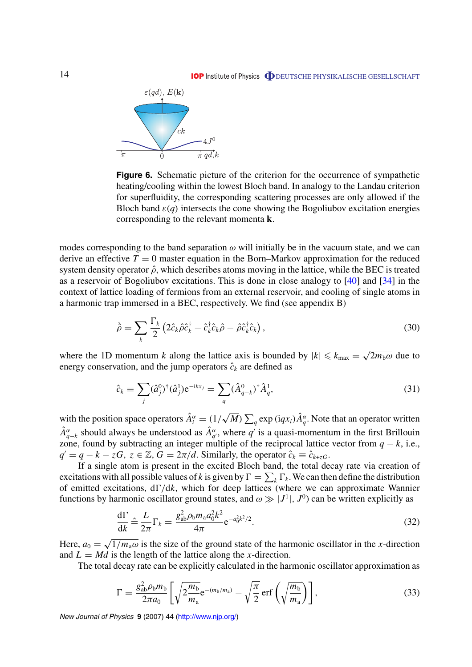<span id="page-13-0"></span>

**Figure 6.** Schematic picture of the criterion for the occurrence of sympathetic heating/cooling within the lowest Bloch band. In analogy to the Landau criterion for superfluidity, the corresponding scattering processes are only allowed if the Bloch band  $\varepsilon(q)$  intersects the cone showing the Bogoliubov excitation energies corresponding to the relevant momenta **k**.

modes corresponding to the band separation  $\omega$  will initially be in the vacuum state, and we can derive an effective  $T = 0$  master equation in the Born–Markov approximation for the reduced system density operator  $\hat{\rho}$ , which describes atoms moving in the lattice, while the BEC is treated as a reservoir of Bogoliubov excitations. This is done in close analogy to [[40\]](#page-31-0) and [\[34](#page-31-0)] in the context of lattice loading of fermions from an external reservoir, and cooling of single atoms in a harmonic trap immersed in a BEC, respectively. We find (see appendix B)

$$
\dot{\hat{\rho}} = \sum_{k} \frac{\Gamma_k}{2} \left( 2 \hat{c}_k \hat{\rho} \hat{c}_k^{\dagger} - \hat{c}_k^{\dagger} \hat{c}_k \hat{\rho} - \hat{\rho} \hat{c}_k^{\dagger} \hat{c}_k \right), \tag{30}
$$

where the 1D momentum *k* along the lattice axis is bounded by  $|k| \leq k_{\text{max}} = \sqrt{2m_b\omega}$  due to energy conservation, and the jump operators  $\hat{c}_k$  are defined as

$$
\hat{c}_k \equiv \sum_j (\hat{a}_j^0)^{\dagger} (\hat{a}_j^1) e^{-ikx_j} = \sum_q (\hat{A}_{q-k}^0)^{\dagger} \hat{A}_q^1,
$$
\n(31)

with the position space operators  $\hat{A}^{\alpha}_{i} = (1/\sqrt{M}) \sum_{q} \exp(iq x_i) \hat{A}^{\alpha}_{q}$ . Note that an operator written  $\hat{A}^{\alpha}_{q-k}$  should always be understood as  $\hat{A}^{\alpha}_{q'}$ , where  $q'$  is a quasi-momentum in the first Brillouin zone, found by subtracting an integer multiple of the reciprocal lattice vector from  $q - k$ , i.e.,  $q' = q - k - zG$ ,  $z \in \mathbb{Z}$ ,  $G = 2\pi/d$ . Similarly, the operator  $\hat{c}_k \equiv \hat{c}_{k+zG}$ .

If a single atom is present in the excited Bloch band, the total decay rate via creation of excitations with all possible values of  $k$  is given by  $\Gamma=\sum_{k}\Gamma_{k}$ . We can then define the distribution of emitted excitations,  $d\Gamma/dk$ , which for deep lattices (where we can approximate Wannier functions by harmonic oscillator ground states, and  $\omega \gg |J^1|$ ,  $J^0$ ) can be written explicitly as

$$
\frac{\mathrm{d}\Gamma}{\mathrm{d}k} \doteq \frac{L}{2\pi} \Gamma_k = \frac{g_{ab}^2 \rho_b m_a a_0^2 k^2}{4\pi} e^{-a_0^2 k^2/2}.
$$
\n(32)

Here,  $a_0 = \sqrt{1/m_a \omega}$  is the size of the ground state of the harmonic oscillator in the *x*-direction and  $L = Md$  is the length of the lattice along the *x*-direction.

The total decay rate can be explicitly calculated in the harmonic oscillator approximation as

$$
\Gamma = \frac{g_{ab}^2 \rho_b m_b}{2\pi a_0} \left[ \sqrt{2 \frac{m_b}{m_a}} e^{-(m_b/m_a)} - \sqrt{\frac{\pi}{2}} \, \text{erf}\left(\sqrt{\frac{m_b}{m_a}}\right) \right],\tag{33}
$$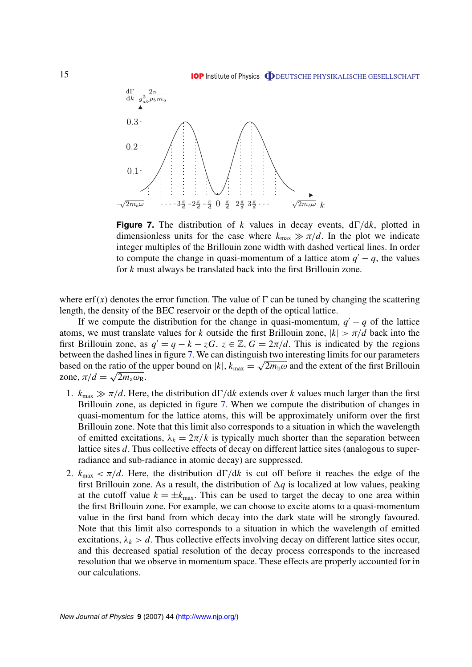

**Figure 7.** The distribution of *k* values in decay events,  $d\Gamma/dk$ , plotted in dimensionless units for the case where  $k_{\text{max}} \gg \pi/d$ . In the plot we indicate integer multiples of the Brillouin zone width with dashed vertical lines. In order to compute the change in quasi-momentum of a lattice atom  $q' - q$ , the values for *k* must always be translated back into the first Brillouin zone.

where  $\text{erf}(x)$  denotes the error function. The value of  $\Gamma$  can be tuned by changing the scattering length, the density of the BEC reservoir or the depth of the optical lattice.

If we compute the distribution for the change in quasi-momentum,  $q' - q$  of the lattice atoms, we must translate values for *k* outside the first Brillouin zone,  $|k| > \pi/d$  back into the first Brillouin zone, as  $q' = q - k - zG$ ,  $z \in \mathbb{Z}$ ,  $G = 2\pi/d$ . This is indicated by the regions between the dashed lines in figure 7. We can distinguish two interesting limits for our parameters based on the ratio of the upper bound on  $|k|$ ,  $k_{\text{max}} = \sqrt{2m_b\omega}$  and the extent of the first Brillouin zone,  $\pi/d = \sqrt{2m_a\omega_R}$ .

- 1.  $k_{\text{max}} \gg \pi/d$ . Here, the distribution  $d\Gamma/dk$  extends over *k* values much larger than the first Brillouin zone, as depicted in figure 7. When we compute the distribution of changes in quasi-momentum for the lattice atoms, this will be approximately uniform over the first Brillouin zone. Note that this limit also corresponds to a situation in which the wavelength of emitted excitations,  $\lambda_k = 2\pi/k$  is typically much shorter than the separation between lattice sites *d*. Thus collective effects of decay on different lattice sites (analogous to superradiance and sub-radiance in atomic decay) are suppressed.
- 2.  $k_{\text{max}} < \pi/d$ . Here, the distribution  $d\Gamma/dk$  is cut off before it reaches the edge of the first Brillouin zone. As a result, the distribution of  $\Delta q$  is localized at low values, peaking at the cutoff value  $k = \pm k_{\text{max}}$ . This can be used to target the decay to one area within the first Brillouin zone. For example, we can choose to excite atoms to a quasi-momentum value in the first band from which decay into the dark state will be strongly favoured. Note that this limit also corresponds to a situation in which the wavelength of emitted excitations,  $\lambda_k > d$ . Thus collective effects involving decay on different lattice sites occur, and this decreased spatial resolution of the decay process corresponds to the increased resolution that we observe in momentum space. These effects are properly accounted for in our calculations.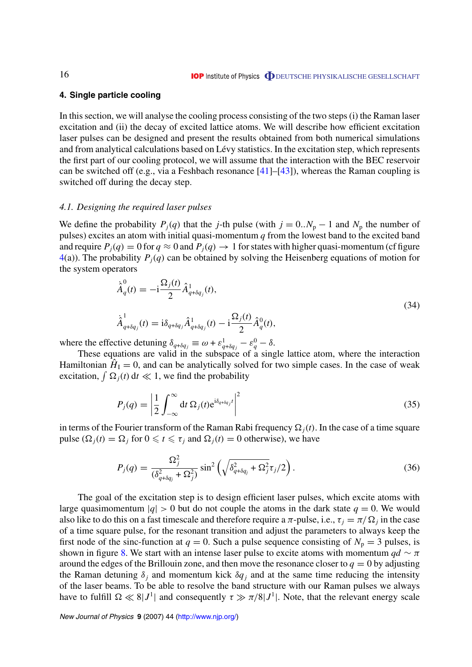#### <span id="page-15-0"></span>**4. Single particle cooling**

In this section, we will analyse the cooling process consisting of the two steps (i) the Raman laser excitation and (ii) the decay of excited lattice atoms. We will describe how efficient excitation laser pulses can be designed and present the results obtained from both numerical simulations and from analytical calculations based on Lévy statistics. In the excitation step, which represents the first part of our cooling protocol, we will assume that the interaction with the BEC reservoir can be switched off (e.g., via a Feshbach resonance  $[41]$  $[41]$ – $[43]$  $[43]$ ), whereas the Raman coupling is switched off during the decay step.

#### *4.1. Designing the required laser pulses*

We define the probability  $P_j(q)$  that the *j*-th pulse (with  $j = 0..N_p - 1$  and  $N_p$  the number of pulses) excites an atom with initial quasi-momentum *q* from the lowest band to the excited band and require  $P_i(q) = 0$  for  $q \approx 0$  and  $P_i(q) \rightarrow 1$  for states with higher quasi-momentum (cf figure  $4(a)$  $4(a)$ ). The probability  $P_i(q)$  can be obtained by solving the Heisenberg equations of motion for the system operators

$$
\dot{\hat{A}}_q^0(t) = -i \frac{\Omega_j(t)}{2} \hat{A}_{q+\delta q_j}^1(t),
$$
\n
$$
\dot{\hat{A}}_{q+\delta q_j}^1(t) = i \delta_{q+\delta q_j} \hat{A}_{q+\delta q_j}^1(t) - i \frac{\Omega_j(t)}{2} \hat{A}_q^0(t),
$$
\n(34)

where the effective detuning  $\delta_{q+\delta q_j} \equiv \omega + \varepsilon_{q+\delta q_j}^1 - \varepsilon_q^0 - \delta$ .

These equations are valid in the subspace of a single lattice atom, where the interaction Hamiltonian  $\hat{H}_{I} = 0$ , and can be analytically solved for two simple cases. In the case of weak excitation,  $\int \Omega_i(t) dt \ll 1$ , we find the probability

$$
P_j(q) = \left| \frac{1}{2} \int_{-\infty}^{\infty} dt \, \Omega_j(t) e^{i\delta_{q+\delta q_j}t} \right|^2 \tag{35}
$$

in terms of the Fourier transform of the Raman Rabi frequency  $\Omega_i(t)$ . In the case of a time square pulse ( $\Omega_i(t) = \Omega_j$  for  $0 \le t \le \tau_j$  and  $\Omega_i(t) = 0$  otherwise), we have

$$
P_j(q) = \frac{\Omega_j^2}{(\delta_{q+\delta q_j}^2 + \Omega_j^2)} \sin^2\left(\sqrt{\delta_{q+\delta q_j}^2 + \Omega_j^2} \tau_j/2\right). \tag{36}
$$

The goal of the excitation step is to design efficient laser pulses, which excite atoms with large quasimomentum  $|q| > 0$  but do not couple the atoms in the dark state  $q = 0$ . We would also like to do this on a fast timescale and therefore require a  $\pi$ -pulse, i.e.,  $\tau_i = \pi/\Omega_i$  in the case of a time square pulse, for the resonant transition and adjust the parameters to always keep the first node of the sinc-function at  $q = 0$ . Such a pulse sequence consisting of  $N_p = 3$  pulses, is shown in figure [8](#page-16-0). We start with an intense laser pulse to excite atoms with momentum  $qd \sim \pi$ around the edges of the Brillouin zone, and then move the resonance closer to  $q = 0$  by adjusting the Raman detuning  $\delta_i$  and momentum kick  $\delta q_i$  and at the same time reducing the intensity of the laser beams. To be able to resolve the band structure with our Raman pulses we always have to fulfill  $\Omega \ll 8|J^1|$  and consequently  $\tau \gg \pi/8|J^1|$ . Note, that the relevant energy scale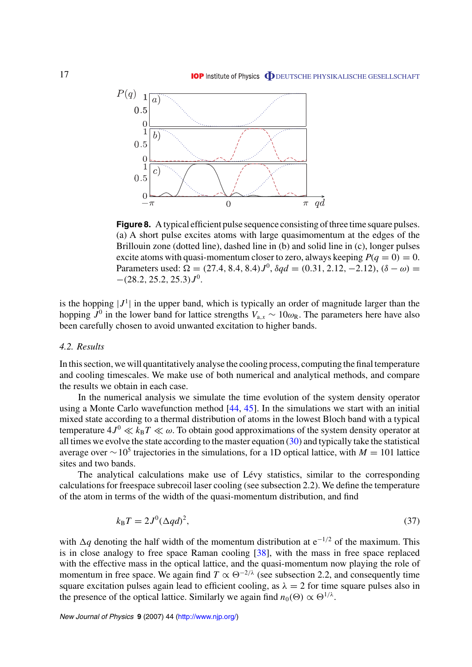# <span id="page-16-0"></span>17 **IOP** Institute of Physics **ODEUTSCHE PHYSIKALISCHE GESELLSCHAFT**



**Figure 8.** A typical efficient pulse sequence consisting of three time square pulses. (a) A short pulse excites atoms with large quasimomentum at the edges of the Brillouin zone (dotted line), dashed line in (b) and solid line in (c), longer pulses excite atoms with quasi-momentum closer to zero, always keeping  $P(q = 0) = 0$ .  $\text{Parameters}$  used:  $\Omega = (27.4, 8.4, 8.4) J^0$ ,  $\delta q d = (0.31, 2.12, -2.12)$ ,  $(\delta - \omega) =$ −*(*28*.*2*,* 25*.*2*,* 25*.*3*)J*0.

is the hopping  $|J^1|$  in the upper band, which is typically an order of magnitude larger than the hopping *J*<sup>0</sup> in the lower band for lattice strengths  $V_{a.x} \sim 10\omega_R$ . The parameters here have also been carefully chosen to avoid unwanted excitation to higher bands.

## *4.2. Results*

In this section, we will quantitatively analyse the cooling process, computing the final temperature and cooling timescales. We make use of both numerical and analytical methods, and compare the results we obtain in each case.

In the numerical analysis we simulate the time evolution of the system density operator using a Monte Carlo wavefunction method [\[44](#page-31-0), [45\]](#page-31-0). In the simulations we start with an initial mixed state according to a thermal distribution of atoms in the lowest Bloch band with a typical temperature  $4J^0 \ll k_B T \ll \omega$ . To obtain good approximations of the system density operator at all times we evolve the state according to the master equation ([30\)](#page-13-0) and typically take the statistical average over ∼10<sup>5</sup> trajectories in the simulations, for a 1D optical lattice, with *M* = 101 lattice sites and two bands.

The analytical calculations make use of Lévy statistics, similar to the corresponding calculations for freespace subrecoil laser cooling (see subsection 2.2). We define the temperature of the atom in terms of the width of the quasi-momentum distribution, and find

$$
k_{\rm B}T = 2J^0(\Delta q d)^2,\tag{37}
$$

with  $\Delta q$  denoting the half width of the momentum distribution at e<sup>-1/2</sup> of the maximum. This is in close analogy to free space Raman cooling [[38\]](#page-31-0), with the mass in free space replaced with the effective mass in the optical lattice, and the quasi-momentum now playing the role of momentum in free space. We again find  $T \propto \Theta^{-2/\lambda}$  (see subsection 2.2, and consequently time square excitation pulses again lead to efficient cooling, as  $\lambda = 2$  for time square pulses also in the presence of the optical lattice. Similarly we again find  $n_0(\Theta) \propto \Theta^{1/\lambda}$ .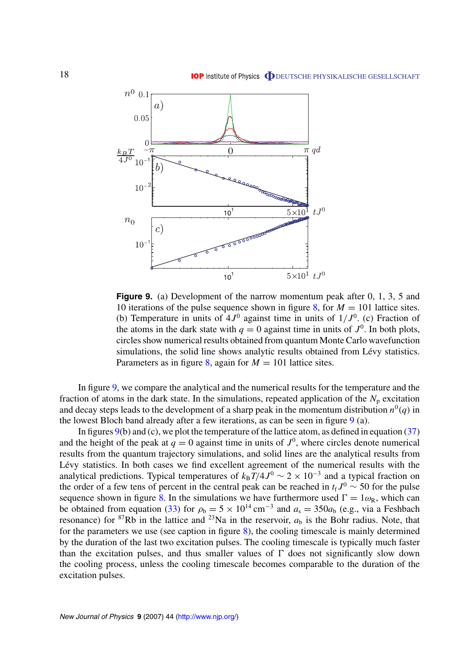

**Figure 9.** (a) Development of the narrow momentum peak after 0, 1, 3, 5 and 10 iterations of the pulse sequence shown in figure [8](#page-16-0), for  $M = 101$  lattice sites. (b) Temperature in units of  $4J^0$  against time in units of  $1/J^0$ . (c) Fraction of the atoms in the dark state with  $q = 0$  against time in units of  $J^0$ . In both plots, circles show numerical results obtained from quantum Monte Carlo wavefunction simulations, the solid line shows analytic results obtained from Lévy statistics. Parameters as in figure [8,](#page-16-0) again for  $M = 101$  lattice sites.

In figure 9, we compare the analytical and the numerical results for the temperature and the fraction of atoms in the dark state. In the simulations, repeated application of the  $N_p$  excitation and decay steps leads to the development of a sharp peak in the momentum distribution  $n^0(q)$  in the lowest Bloch band already after a few iterations, as can be seen in figure 9 (a).

In figures  $9(b)$  and (c), we plot the temperature of the lattice atom, as defined in equation [\(37](#page-16-0)) and the height of the peak at  $q = 0$  against time in units of  $J^0$ , where circles denote numerical results from the quantum trajectory simulations, and solid lines are the analytical results from Lévy statistics. In both cases we find excellent agreement of the numerical results with the analytical predictions. Typical temperatures of  $k_B T/4J^0 \sim 2 \times 10^{-3}$  and a typical fraction on the order of a few tens of percent in the central peak can be reached in  $t_fJ^0 \sim 50$  for the pulse sequence shown in figure [8](#page-16-0). In the simulations we have furthermore used  $\Gamma = 1\omega_R$ , which can be obtained from equation ([33\)](#page-13-0) for  $\rho_b = 5 \times 10^{14} \text{ cm}^{-3}$  and  $a_s = 350a_b$  (e.g., via a Feshbach resonance) for <sup>87</sup>Rb in the lattice and <sup>23</sup>Na in the reservoir,  $a<sub>b</sub>$  is the Bohr radius. Note, that for the parameters we use (see caption in figure  $\frac{8}{10}$  $\frac{8}{10}$  $\frac{8}{10}$ ), the cooling timescale is mainly determined by the duration of the last two excitation pulses. The cooling timescale is typically much faster than the excitation pulses, and thus smaller values of  $\Gamma$  does not significantly slow down the cooling process, unless the cooling timescale becomes comparable to the duration of the excitation pulses.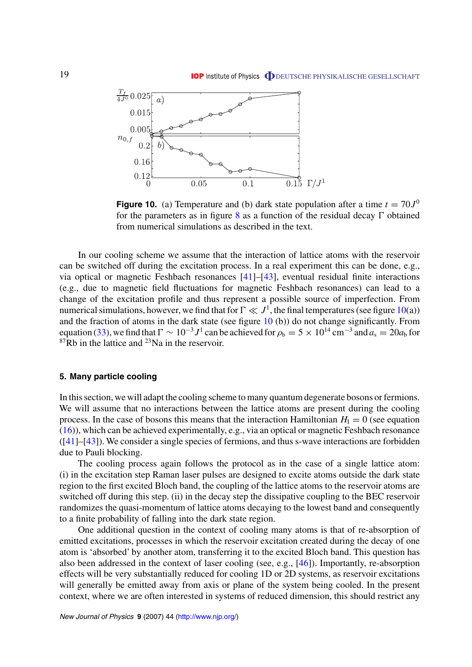<span id="page-18-0"></span>

**Figure 10.** (a) Temperature and (b) dark state population after a time  $t = 70J^0$ for the parameters as in figure  $8$  as a function of the residual decay  $\Gamma$  obtained from numerical simulations as described in the text.

In our cooling scheme we assume that the interaction of lattice atoms with the reservoir can be switched off during the excitation process. In a real experiment this can be done, e.g., via optical or magnetic Feshbach resonances [[41\]](#page-31-0)–[[43\]](#page-31-0), eventual residual finite interactions (e.g., due to magnetic field fluctuations for magnetic Feshbach resonances) can lead to a change of the excitation profile and thus represent a possible source of imperfection. From numerical simulations, however, we find that for  $\Gamma \ll J^1$ , the final temperatures (see figure 10(a)) and the fraction of atoms in the dark state (see figure 10 (b)) do not change significantly. From equation ([33\)](#page-13-0), we find that  $\Gamma \sim 10^{-3} J^1$  can be achieved for  $\rho_b = 5 \times 10^{14}$  cm<sup>-3</sup> and  $a_s = 20 a_b$  for  $87Rb$  in the lattice and  $23Na$  in the reservoir.

## **5. Many particle cooling**

In this section, we will adapt the cooling scheme to many quantum degenerate bosons or fermions. We will assume that no interactions between the lattice atoms are present during the cooling process. In the case of bosons this means that the interaction Hamiltonian  $H<sub>I</sub> = 0$  (see equation ([16\)](#page-9-0)), which can be achieved experimentally, e.g., via an optical or magnetic Feshbach resonance  $([41]–[43])$  $([41]–[43])$  $([41]–[43])$  $([41]–[43])$  $([41]–[43])$ . We consider a single species of fermions, and thus s-wave interactions are forbidden due to Pauli blocking.

The cooling process again follows the protocol as in the case of a single lattice atom: (i) in the excitation step Raman laser pulses are designed to excite atoms outside the dark state region to the first excited Bloch band, the coupling of the lattice atoms to the reservoir atoms are switched off during this step. (ii) in the decay step the dissipative coupling to the BEC reservoir randomizes the quasi-momentum of lattice atoms decaying to the lowest band and consequently to a finite probability of falling into the dark state region.

One additional question in the context of cooling many atoms is that of re-absorption of emitted excitations, processes in which the reservoir excitation created during the decay of one atom is 'absorbed' by another atom, transferring it to the excited Bloch band. This question has also been addressed in the context of laser cooling (see, e.g., [[46\]](#page-31-0)). Importantly, re-absorption effects will be very substantially reduced for cooling 1D or 2D systems, as reservoir excitations will generally be emitted away from axis or plane of the system being cooled. In the present context, where we are often interested in systems of reduced dimension, this should restrict any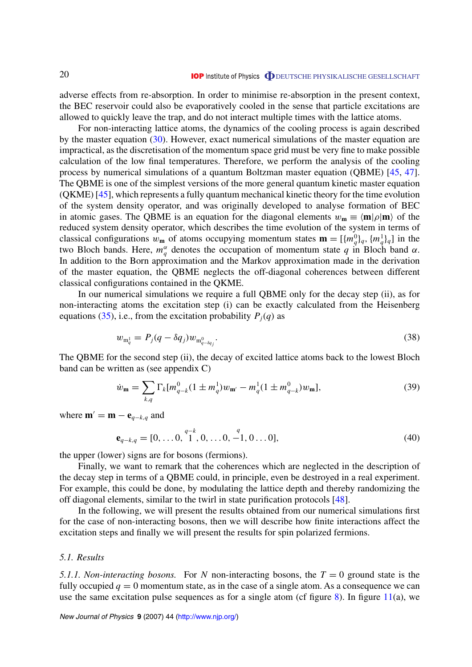<span id="page-19-0"></span>adverse effects from re-absorption. In order to minimise re-absorption in the present context, the BEC reservoir could also be evaporatively cooled in the sense that particle excitations are allowed to quickly leave the trap, and do not interact multiple times with the lattice atoms.

For non-interacting lattice atoms, the dynamics of the cooling process is again described by the master equation ([30\)](#page-13-0). However, exact numerical simulations of the master equation are impractical, as the discretisation of the momentum space grid must be very fine to make possible calculation of the low final temperatures. Therefore, we perform the analysis of the cooling process by numerical simulations of a quantum Boltzman master equation (QBME) [[45](#page-31-0), [47](#page-31-0)]. The QBME is one of the simplest versions of the more general quantum kinetic master equation (QKME) [\[45](#page-31-0)], which represents a fully quantum mechanical kinetic theory for the time evolution of the system density operator, and was originally developed to analyse formation of BEC in atomic gases. The QBME is an equation for the diagonal elements  $w_m \equiv \langle m|\rho|m\rangle$  of the reduced system density operator, which describes the time evolution of the system in terms of classical configurations  $w_m$  of atoms occupying momentum states  $\mathbf{m} = [\{m_q^0\}_q, \{m_q^1\}_q]$  in the two Bloch bands. Here,  $m_q^{\alpha}$  denotes the occupation of momentum state q in Bloch band  $\alpha$ . In addition to the Born approximation and the Markov approximation made in the derivation of the master equation, the QBME neglects the off-diagonal coherences between different classical configurations contained in the QKME.

In our numerical simulations we require a full QBME only for the decay step (ii), as for non-interacting atoms the excitation step (i) can be exactly calculated from the Heisenberg equations ([35\)](#page-15-0), i.e., from the excitation probability  $P_i(q)$  as

$$
w_{m_q^1} = P_j(q - \delta q_j) w_{m_{q - \delta q_j}^0}.
$$
\n(38)

The QBME for the second step (ii), the decay of excited lattice atoms back to the lowest Bloch band can be written as (see appendix C)

$$
\dot{w}_{\mathbf{m}} = \sum_{k,q} \Gamma_k [m_{q-k}^0 (1 \pm m_q^1) w_{\mathbf{m}'} - m_q^1 (1 \pm m_{q-k}^0) w_{\mathbf{m}}],\tag{39}
$$

where  $\mathbf{m}' = \mathbf{m} - \mathbf{e}_{q-k,q}$  and

$$
\mathbf{e}_{q-k,q} = [0, \dots 0, \stackrel{q-k}{1}, 0, \dots 0, \stackrel{q}{-1}, 0 \dots 0], \tag{40}
$$

the upper (lower) signs are for bosons (fermions).

Finally, we want to remark that the coherences which are neglected in the description of the decay step in terms of a QBME could, in principle, even be destroyed in a real experiment. For example, this could be done, by modulating the lattice depth and thereby randomizing the off diagonal elements, similar to the twirl in state purification protocols [[48\]](#page-31-0).

In the following, we will present the results obtained from our numerical simulations first for the case of non-interacting bosons, then we will describe how finite interactions affect the excitation steps and finally we will present the results for spin polarized fermions.

#### *5.1. Results*

*5.1.1. Non-interacting bosons.* For *N* non-interacting bosons, the *T* = 0 ground state is the fully occupied  $q = 0$  momentum state, as in the case of a single atom. As a consequence we can use the same excitation pulse sequences as for a single atom (cf figure  $\frac{8}{10}$ ). In figure [11](#page-20-0)(a), we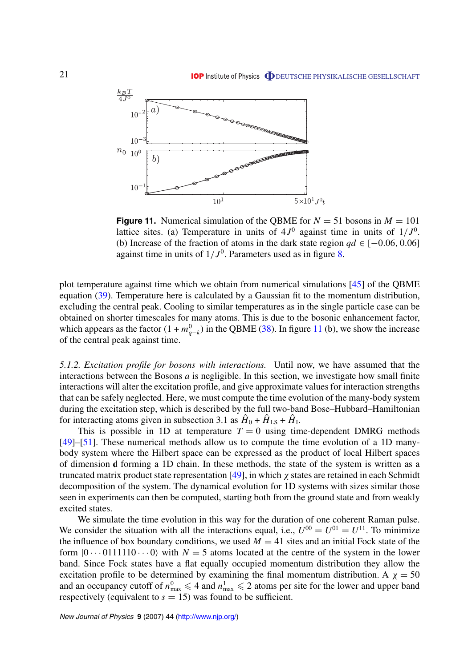<span id="page-20-0"></span>

**Figure 11.** Numerical simulation of the QBME for  $N = 51$  bosons in  $M = 101$ lattice sites. (a) Temperature in units of  $4J^0$  against time in units of  $1/J^0$ . (b) Increase of the fraction of atoms in the dark state region *qd* ∈ [−0*.*06*,* 0*.*06] against time in units of  $1/J<sup>0</sup>$ . Parameters used as in figure [8.](#page-16-0)

plot temperature against time which we obtain from numerical simulations [[45\]](#page-31-0) of the QBME equation ([39\)](#page-19-0). Temperature here is calculated by a Gaussian fit to the momentum distribution, excluding the central peak. Cooling to similar temperatures as in the single particle case can be obtained on shorter timescales for many atoms. This is due to the bosonic enhancement factor, which appears as the factor  $(1 + m_{q-k}^0)$  in the QBME [\(38\)](#page-19-0). In figure 11 (b), we show the increase of the central peak against time.

*5.1.2. Excitation profile for bosons with interactions.* Until now, we have assumed that the interactions between the Bosons *a* is negligible. In this section, we investigate how small finite interactions will alter the excitation profile, and give approximate values for interaction strengths that can be safely neglected. Here, we must compute the time evolution of the many-body system during the excitation step, which is described by the full two-band Bose–Hubbard–Hamiltonian for interacting atoms given in subsection 3.1 as  $\hat{H}_0 + \hat{H}_{LS} + \hat{H}_{I}$ .

This is possible in 1D at temperature  $T = 0$  using time-dependent DMRG methods [[49\]](#page-31-0)–[[51\]](#page-31-0). These numerical methods allow us to compute the time evolution of a 1D manybody system where the Hilbert space can be expressed as the product of local Hilbert spaces of dimension d forming a 1D chain. In these methods, the state of the system is written as a truncated matrix product state representation [[49\]](#page-31-0), in which *χ* states are retained in each Schmidt decomposition of the system. The dynamical evolution for 1D systems with sizes similar those seen in experiments can then be computed, starting both from the ground state and from weakly excited states.

We simulate the time evolution in this way for the duration of one coherent Raman pulse. We consider the situation with all the interactions equal, i.e.,  $U^{00} = U^{01} = U^{11}$ . To minimize the influence of box boundary conditions, we used  $M = 41$  sites and an initial Fock state of the form  $|0 \cdots 0111110 \cdots 0\rangle$  with  $N = 5$  atoms located at the centre of the system in the lower band. Since Fock states have a flat equally occupied momentum distribution they allow the excitation profile to be determined by examining the final momentum distribution. A  $\chi = 50$ and an occupancy cutoff of  $n_{\text{max}}^0 \le 4$  and  $n_{\text{max}}^1 \le 2$  atoms per site for the lower and upper band respectively (equivalent to  $s = 15$ ) was found to be sufficient.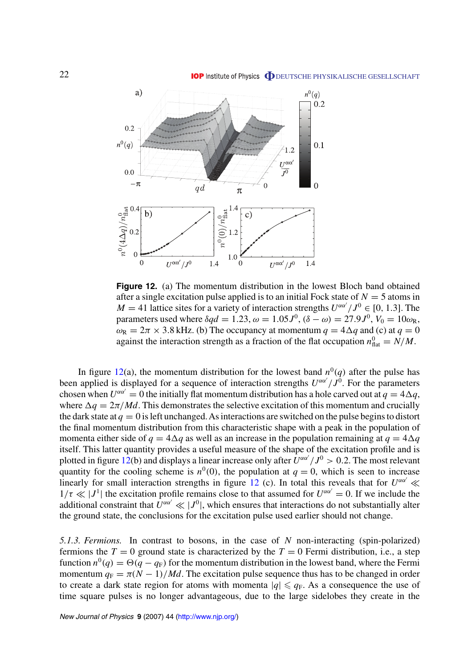

**Figure 12.** (a) The momentum distribution in the lowest Bloch band obtained after a single excitation pulse applied is to an initial Fock state of  $N = 5$  atoms in *M* = 41 lattice sites for a variety of interaction strengths  $U^{\alpha\alpha'}/J^0 \in [0, 1.3]$ . The parameters used where  $\delta qd = 1.23$ ,  $\omega = 1.05 J^0$ ,  $(\delta - \omega) = 27.9 J^0$ ,  $V_0 = 10 \omega_R$ ,  $\omega_R = 2\pi \times 3.8$  kHz. (b) The occupancy at momentum  $q = 4\Delta q$  and (c) at  $q = 0$ against the interaction strength as a fraction of the flat occupation  $n_{\text{flat}}^0 = N/M$ .

In figure 12(a), the momentum distribution for the lowest band  $n^0(q)$  after the pulse has been applied is displayed for a sequence of interaction strengths  $U^{\alpha\alpha'}/J^0$ . For the parameters chosen when  $U^{\alpha\alpha'} = 0$  the initially flat momentum distribution has a hole carved out at  $q = 4\Delta q$ , where  $\Delta q = 2\pi / Md$ . This demonstrates the selective excitation of this momentum and crucially the dark state at  $q = 0$  is left unchanged. As interactions are switched on the pulse begins to distort the final momentum distribution from this characteristic shape with a peak in the population of momenta either side of  $q = 4\Delta q$  as well as an increase in the population remaining at  $q = 4\Delta q$ itself. This latter quantity provides a useful measure of the shape of the excitation profile and is plotted in figure 12(b) and displays a linear increase only after  $\dot{U}^{\alpha\alpha'}/J^0 > 0.2$ . The most relevant quantity for the cooling scheme is  $n^0(0)$ , the population at  $q = 0$ , which is seen to increase linearly for small interaction strengths in figure 12 (c). In total this reveals that for  $U^{\alpha\alpha'} \ll$  $1/\tau \ll |J^1|$  the excitation profile remains close to that assumed for  $U^{\alpha\alpha'} = 0$ . If we include the additional constraint that  $U^{\alpha\alpha'} \ll |J^0|$ , which ensures that interactions do not substantially alter the ground state, the conclusions for the excitation pulse used earlier should not change.

*5.1.3. Fermions.* In contrast to bosons, in the case of *N* non-interacting (spin-polarized) fermions the  $T = 0$  ground state is characterized by the  $T = 0$  Fermi distribution, i.e., a step function  $n^0(q) = \Theta(q - q_F)$  for the momentum distribution in the lowest band, where the Fermi momentum  $q_F = \pi (N - 1)/Md$ . The excitation pulse sequence thus has to be changed in order to create a dark state region for atoms with momenta  $|q| \leq q_F$ . As a consequence the use of time square pulses is no longer advantageous, due to the large sidelobes they create in the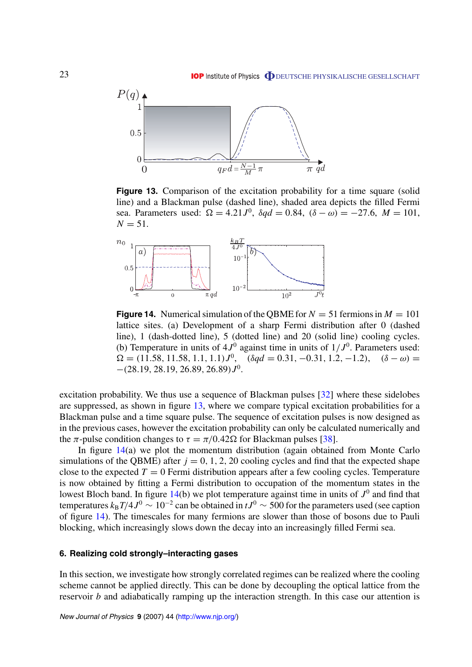<span id="page-22-0"></span>

**Figure 13.** Comparison of the excitation probability for a time square (solid line) and a Blackman pulse (dashed line), shaded area depicts the filled Fermi sea. Parameters used:  $\Omega = 4.21J^0$ ,  $\delta qd = 0.84$ ,  $(\delta - \omega) = -27.6$ ,  $M = 101$ ,  $N = 51$ .



**Figure 14.** Numerical simulation of the OBME for  $N = 51$  fermions in  $M = 101$ lattice sites. (a) Development of a sharp Fermi distribution after 0 (dashed line), 1 (dash-dotted line), 5 (dotted line) and 20 (solid line) cooling cycles. (b) Temperature in units of  $4J^0$  against time in units of  $1/J^0$ . Parameters used:  $\Omega = (11.58, 11.58, 1.1, 1.1)J^0$ ,  $(\delta q d = 0.31, -0.31, 1.2, -1.2)$ ,  $(\delta - \omega) =$ −*(*28*.*19*,* 28*.*19*,* 26*.*89*,* 26*.*89*)J*0.

excitation probability. We thus use a sequence of Blackman pulses [\[32](#page-31-0)] where these sidelobes are suppressed, as shown in figure 13, where we compare typical excitation probabilities for a Blackman pulse and a time square pulse. The sequence of excitation pulses is now designed as in the previous cases, however the excitation probability can only be calculated numerically and the  $\pi$ -pulse condition changes to  $\tau = \pi/0.42\Omega$  for Blackman pulses [\[38](#page-31-0)].

In figure 14(a) we plot the momentum distribution (again obtained from Monte Carlo simulations of the QBME) after  $j = 0, 1, 2, 20$  cooling cycles and find that the expected shape close to the expected  $T = 0$  Fermi distribution appears after a few cooling cycles. Temperature is now obtained by fitting a Fermi distribution to occupation of the momentum states in the lowest Bloch band. In figure  $14(b)$  we plot temperature against time in units of  $J^0$  and find that temperatures  $k_B T/4J^0 \sim 10^{-2}$  can be obtained in  $tJ^0 \sim 500$  for the parameters used (see caption of figure 14). The timescales for many fermions are slower than those of bosons due to Pauli blocking, which increasingly slows down the decay into an increasingly filled Fermi sea.

#### **6. Realizing cold strongly–interacting gases**

In this section, we investigate how strongly correlated regimes can be realized where the cooling scheme cannot be applied directly. This can be done by decoupling the optical lattice from the reservoir *b* and adiabatically ramping up the interaction strength. In this case our attention is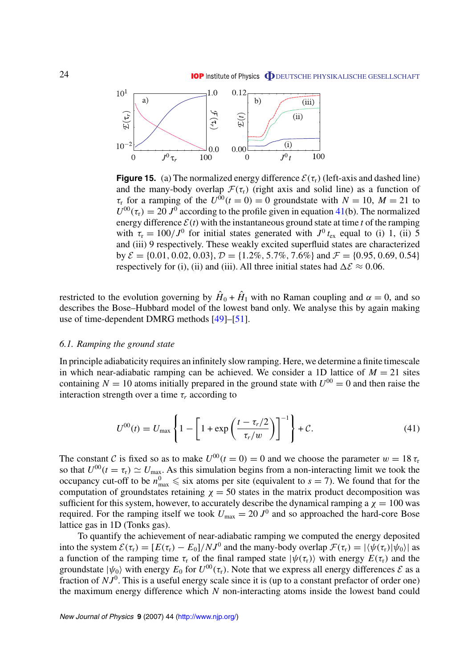<span id="page-23-0"></span>

**Figure 15.** (a) The normalized energy difference  $\mathcal{E}(\tau_r)$  (left-axis and dashed line) and the many-body overlap  $\mathcal{F}(\tau_r)$  (right axis and solid line) as a function of *τ*<sub>r</sub> for a ramping of the  $U^{00}(t=0) = 0$  groundstate with  $N = 10$ ,  $M = 21$  to  $U^{00}(\tau_r) = 20 J^0$  according to the profile given in equation 41(b). The normalized energy difference  $\mathcal{E}(t)$  with the instantaneous ground state at time *t* of the ramping with  $\tau_r = 100/J^0$  for initial states generated with  $J^0 t_{\text{ex}}$  equal to (i) 1, (ii) 5 and (iii) 9 respectively. These weakly excited superfluid states are characterized by  $\mathcal{E} = \{0.01, 0.02, 0.03\}, \mathcal{D} = \{1.2\%, 5.7\%, 7.6\%\}$  and  $\mathcal{F} = \{0.95, 0.69, 0.54\}$ respectively for (i), (ii) and (iii). All three initial states had  $\Delta \mathcal{E} \approx 0.06$ .

restricted to the evolution governing by  $\hat{H}_0 + \hat{H}_1$  with no Raman coupling and  $\alpha = 0$ , and so describes the Bose–Hubbard model of the lowest band only. We analyse this by again making use of time-dependent DMRG methods [[49\]](#page-31-0)–[\[51](#page-31-0)].

#### *6.1. Ramping the ground state*

In principle adiabaticity requires an infinitely slow ramping. Here, we determine a finite timescale in which near-adiabatic ramping can be achieved. We consider a 1D lattice of  $M = 21$  sites containing  $N = 10$  atoms initially prepared in the ground state with  $U^{00} = 0$  and then raise the interaction strength over a time  $\tau_r$  according to

$$
U^{00}(t) = U_{\text{max}} \left\{ 1 - \left[ 1 + \exp\left(\frac{t - \tau_r/2}{\tau_r/w}\right) \right]^{-1} \right\} + C. \tag{41}
$$

The constant C is fixed so as to make  $U^{00}(t=0) = 0$  and we choose the parameter  $w = 18 \tau_r$ so that  $U^{00}(t = \tau_r) \simeq U_{\text{max}}$ . As this simulation begins from a non-interacting limit we took the occupancy cut-off to be  $n_{\text{max}}^0 \leq$  six atoms per site (equivalent to  $s = 7$ ). We found that for the computation of groundstates retaining  $\chi = 50$  states in the matrix product decomposition was sufficient for this system, however, to accurately describe the dynamical ramping a  $\chi = 100$  was required. For the ramping itself we took  $U_{\text{max}} = 20 J^0$  and so approached the hard-core Bose lattice gas in 1D (Tonks gas).

To quantify the achievement of near-adiabatic ramping we computed the energy deposited into the system  $\mathcal{E}(\tau_r) = [E(\tau_r) - E_0]/NJ^0$  and the many-body overlap  $\mathcal{F}(\tau_r) = |\langle \psi(\tau_r)|\psi_0 \rangle|$  as a function of the ramping time  $\tau_r$  of the final ramped state  $|\psi(\tau_r)\rangle$  with energy  $E(\tau_r)$  and the groundstate  $|\psi_0\rangle$  with energy  $E_0$  for  $U^{00}(\tau_r)$ . Note that we express all energy differences  $\mathcal E$  as a fraction of  $NJ^0$ . This is a useful energy scale since it is (up to a constant prefactor of order one) the maximum energy difference which *N* non-interacting atoms inside the lowest band could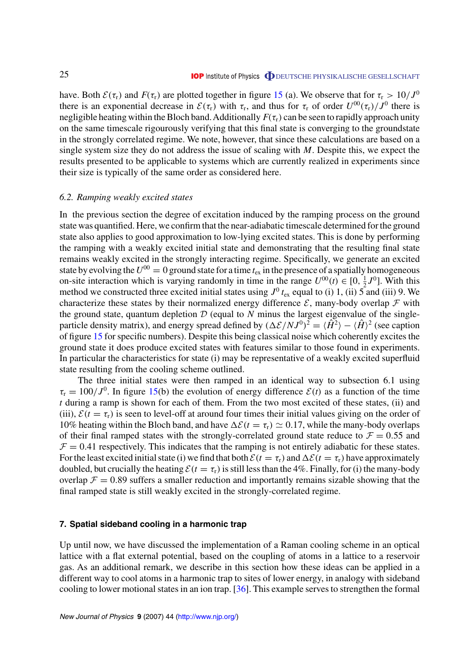<span id="page-24-0"></span>have. Both  $\mathcal{E}(\tau_r)$  and  $F(\tau_r)$  are plotted together in figure [15](#page-23-0) (a). We observe that for  $\tau_r > 10/J^0$ there is an exponential decrease in  $\mathcal{E}(\tau_r)$  with  $\tau_r$ , and thus for  $\tau_r$  of order  $U^{00}(\tau_r)/J^0$  there is negligible heating within the Bloch band. Additionally  $F(\tau_r)$  can be seen to rapidly approach unity on the same timescale rigourously verifying that this final state is converging to the groundstate in the strongly correlated regime. We note, however, that since these calculations are based on a single system size they do not address the issue of scaling with *M*. Despite this, we expect the results presented to be applicable to systems which are currently realized in experiments since their size is typically of the same order as considered here.

#### *6.2. Ramping weakly excited states*

In the previous section the degree of excitation induced by the ramping process on the ground state was quantified. Here, we confirm that the near-adiabatic timescale determined for the ground state also applies to good approximation to low-lying excited states. This is done by performing the ramping with a weakly excited initial state and demonstrating that the resulting final state remains weakly excited in the strongly interacting regime. Specifically, we generate an excited state by evolving the  $U^{00} = 0$  ground state for a time  $t_{ex}$  in the presence of a spatially homogeneous on-site interaction which is varying randomly in time in the range  $U^{00}(t) \in [0, \frac{1}{2}J^0]$ . With this method we constructed three excited initial states using  $J^0 t_{\text{ex}}$  equal to (i) 1, (ii) 5 and (iii) 9. We characterize these states by their normalized energy difference  $\mathcal{E}$ , many-body overlap  $\mathcal{F}$  with the ground state, quantum depletion  $D$  (equal to  $N$  minus the largest eigenvalue of the singleparticle density matrix), and energy spread defined by  $(\Delta \mathcal{E}/NJ^0)^2 = \langle \hat{H}^2 \rangle - \langle \hat{H} \rangle^2$  (see caption of figure [15](#page-23-0) for specific numbers). Despite this being classical noise which coherently excites the ground state it does produce excited states with features similar to those found in experiments. In particular the characteristics for state (i) may be representative of a weakly excited superfluid state resulting from the cooling scheme outlined.

The three initial states were then ramped in an identical way to subsection 6.1 using  $\tau_r = 100/J^0$ . In figure [15](#page-23-0)(b) the evolution of energy difference  $\mathcal{E}(t)$  as a function of the time *t* during a ramp is shown for each of them. From the two most excited of these states, (ii) and (iii),  $\mathcal{E}(t = \tau_r)$  is seen to level-off at around four times their initial values giving on the order of 10% heating within the Bloch band, and have  $\Delta \mathcal{E}(t = \tau_r) \simeq 0.17$ , while the many-body overlaps of their final ramped states with the strongly-correlated ground state reduce to  $\mathcal{F} = 0.55$  and  $F = 0.41$  respectively. This indicates that the ramping is not entirely adiabatic for these states. For the least excited initial state (i) we find that both  $\mathcal{E}(t = \tau_r)$  and  $\Delta \mathcal{E}(t = \tau_r)$  have approximately doubled, but crucially the heating  $\mathcal{E}(t = \tau_r)$  is still less than the 4%. Finally, for (i) the many-body overlap  $\mathcal{F} = 0.89$  suffers a smaller reduction and importantly remains sizable showing that the final ramped state is still weakly excited in the strongly-correlated regime.

#### **7. Spatial sideband cooling in a harmonic trap**

Up until now, we have discussed the implementation of a Raman cooling scheme in an optical lattice with a flat external potential, based on the coupling of atoms in a lattice to a reservoir gas. As an additional remark, we describe in this section how these ideas can be applied in a different way to cool atoms in a harmonic trap to sites of lower energy, in analogy with sideband cooling to lower motional states in an ion trap. [[36\]](#page-31-0). This example serves to strengthen the formal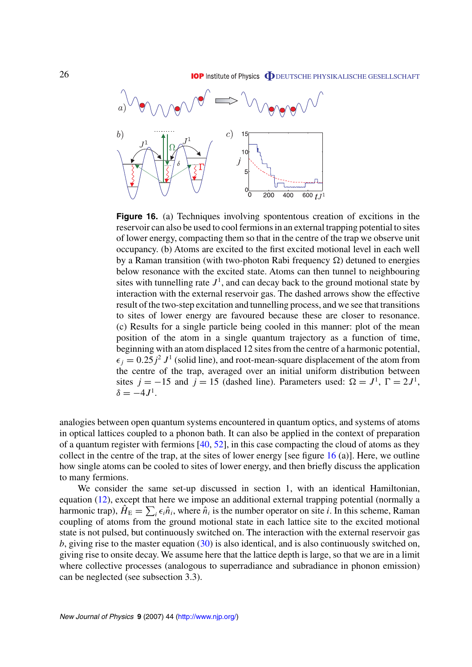# <span id="page-25-0"></span> $26$  **IOP** Institute of Physics  $\Phi$  DEUTSCHE PHYSIKALISCHE GESELLSCHAFT



**Figure 16.** (a) Techniques involving spontentous creation of excitions in the reservoir can also be used to cool fermions in an external trapping potential to sites of lower energy, compacting them so that in the centre of the trap we observe unit occupancy. (b) Atoms are excited to the first excited motional level in each well by a Raman transition (with two-photon Rabi frequency  $\Omega$ ) detuned to energies below resonance with the excited state. Atoms can then tunnel to neighbouring sites with tunnelling rate  $J^1$ , and can decay back to the ground motional state by interaction with the external reservoir gas. The dashed arrows show the effective result of the two-step excitation and tunnelling process, and we see that transitions to sites of lower energy are favoured because these are closer to resonance. (c) Results for a single particle being cooled in this manner: plot of the mean position of the atom in a single quantum trajectory as a function of time, beginning with an atom displaced 12 sites from the centre of a harmonic potential,  $\epsilon_i = 0.25j^2 J^1$  (solid line), and root-mean-square displacement of the atom from the centre of the trap, averaged over an initial uniform distribution between sites  $j = -15$  and  $j = 15$  (dashed line). Parameters used:  $\Omega = J^1$ ,  $\Gamma = 2J^1$ ,  $\delta = -4J^1$ .

analogies between open quantum systems encountered in quantum optics, and systems of atoms in optical lattices coupled to a phonon bath. It can also be applied in the context of preparation of a quantum register with fermions  $[40, 52]$  $[40, 52]$  $[40, 52]$ , in this case compacting the cloud of atoms as they collect in the centre of the trap, at the sites of lower energy [see figure 16 (a)]. Here, we outline how single atoms can be cooled to sites of lower energy, and then briefly discuss the application to many fermions.

We consider the same set-up discussed in section 1, with an identical Hamiltonian, equation [\(12](#page-9-0)), except that here we impose an additional external trapping potential (normally a harmonic trap),  $\hat{H}_{\rm E} = \sum_i \epsilon_i \hat{n}_i$ , where  $\hat{n}_i$  is the number operator on site *i*. In this scheme, Raman coupling of atoms from the ground motional state in each lattice site to the excited motional state is not pulsed, but continuously switched on. The interaction with the external reservoir gas *b*, giving rise to the master equation [\(30](#page-13-0)) is also identical, and is also continuously switched on, giving rise to onsite decay. We assume here that the lattice depth is large, so that we are in a limit where collective processes (analogous to superradiance and subradiance in phonon emission) can be neglected (see subsection 3.3).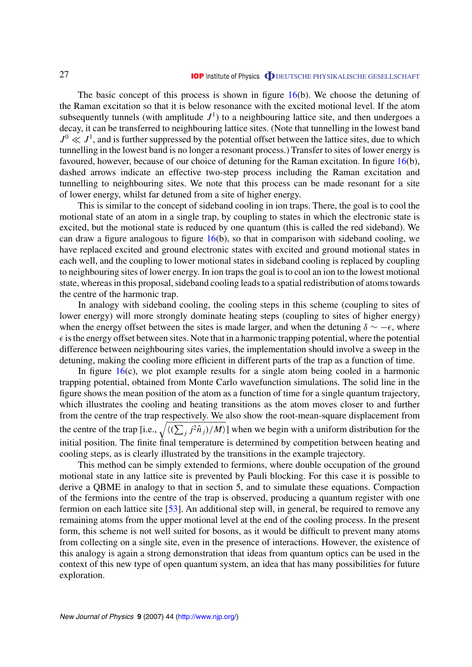The basic concept of this process is shown in figure  $16(b)$  $16(b)$ . We choose the detuning of the Raman excitation so that it is below resonance with the excited motional level. If the atom subsequently tunnels (with amplitude  $J<sup>1</sup>$ ) to a neighbouring lattice site, and then undergoes a decay, it can be transferred to neighbouring lattice sites. (Note that tunnelling in the lowest band  $J^0 \ll J^1$ , and is further suppressed by the potential offset between the lattice sites, due to which tunnelling in the lowest band is no longer a resonant process.) Transfer to sites of lower energy is favoured, however, because of our choice of detuning for the Raman excitation. In figure [16](#page-25-0)(b), dashed arrows indicate an effective two-step process including the Raman excitation and tunnelling to neighbouring sites. We note that this process can be made resonant for a site of lower energy, whilst far detuned from a site of higher energy.

This is similar to the concept of sideband cooling in ion traps. There, the goal is to cool the motional state of an atom in a single trap, by coupling to states in which the electronic state is excited, but the motional state is reduced by one quantum (this is called the red sideband). We can draw a figure analogous to figure  $16(b)$  $16(b)$ , so that in comparison with sideband cooling, we have replaced excited and ground electronic states with excited and ground motional states in each well, and the coupling to lower motional states in sideband cooling is replaced by coupling to neighbouring sites of lower energy. In ion traps the goal is to cool an ion to the lowest motional state, whereas in this proposal, sideband cooling leads to a spatial redistribution of atoms towards the centre of the harmonic trap.

In analogy with sideband cooling, the cooling steps in this scheme (coupling to sites of lower energy) will more strongly dominate heating steps (coupling to sites of higher energy) when the energy offset between the sites is made larger, and when the detuning  $\delta \sim -\epsilon$ , where  $\epsilon$  is the energy offset between sites. Note that in a harmonic trapping potential, where the potential difference between neighbouring sites varies, the implementation should involve a sweep in the detuning, making the cooling more efficient in different parts of the trap as a function of time.

In figure  $16(c)$  $16(c)$ , we plot example results for a single atom being cooled in a harmonic trapping potential, obtained from Monte Carlo wavefunction simulations. The solid line in the figure shows the mean position of the atom as a function of time for a single quantum trajectory, which illustrates the cooling and heating transitions as the atom moves closer to and further from the centre of the trap respectively. We also show the root-mean-square displacement from the centre of the trap [i.e.,  $\sqrt{\langle (\sum_j j^2 \hat{n}_j)/M \rangle}$ ] when we begin with a uniform distribution for the initial position. The finite final temperature is determined by competition between heating and cooling steps, as is clearly illustrated by the transitions in the example trajectory.

This method can be simply extended to fermions, where double occupation of the ground motional state in any lattice site is prevented by Pauli blocking. For this case it is possible to derive a QBME in analogy to that in section 5, and to simulate these equations. Compaction of the fermions into the centre of the trap is observed, producing a quantum register with one fermion on each lattice site [\[53](#page-31-0)]. An additional step will, in general, be required to remove any remaining atoms from the upper motional level at the end of the cooling process. In the present form, this scheme is not well suited for bosons, as it would be difficult to prevent many atoms from collecting on a single site, even in the presence of interactions. However, the existence of this analogy is again a strong demonstration that ideas from quantum optics can be used in the context of this new type of open quantum system, an idea that has many possibilities for future exploration.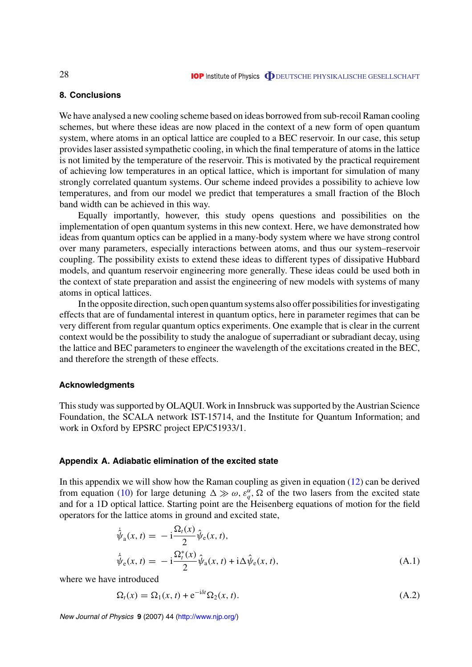## <span id="page-27-0"></span>**8. Conclusions**

We have analysed a new cooling scheme based on ideas borrowed from sub-recoil Raman cooling schemes, but where these ideas are now placed in the context of a new form of open quantum system, where atoms in an optical lattice are coupled to a BEC reservoir. In our case, this setup provides laser assisted sympathetic cooling, in which the final temperature of atoms in the lattice is not limited by the temperature of the reservoir. This is motivated by the practical requirement of achieving low temperatures in an optical lattice, which is important for simulation of many strongly correlated quantum systems. Our scheme indeed provides a possibility to achieve low temperatures, and from our model we predict that temperatures a small fraction of the Bloch band width can be achieved in this way.

Equally importantly, however, this study opens questions and possibilities on the implementation of open quantum systems in this new context. Here, we have demonstrated how ideas from quantum optics can be applied in a many-body system where we have strong control over many parameters, especially interactions between atoms, and thus our system–reservoir coupling. The possibility exists to extend these ideas to different types of dissipative Hubbard models, and quantum reservoir engineering more generally. These ideas could be used both in the context of state preparation and assist the engineering of new models with systems of many atoms in optical lattices.

In the opposite direction, such open quantum systems also offer possibilities for investigating effects that are of fundamental interest in quantum optics, here in parameter regimes that can be very different from regular quantum optics experiments. One example that is clear in the current context would be the possibility to study the analogue of superradiant or subradiant decay, using the lattice and BEC parameters to engineer the wavelength of the excitations created in the BEC, and therefore the strength of these effects.

#### **Acknowledgments**

This study was supported by OLAQUI. Work in Innsbruck was supported by the Austrian Science Foundation, the SCALA network IST-15714, and the Institute for Quantum Information; and work in Oxford by EPSRC project EP/C51933/1.

#### **Appendix A. Adiabatic elimination of the excited state**

In this appendix we will show how the Raman coupling as given in equation  $(12)$  $(12)$  can be derived from equation ([10\)](#page-8-0) for large detuning  $\Delta \gg \omega$ ,  $\varepsilon_q^{\alpha}$ ,  $\Omega$  of the two lasers from the excited state and for a 1D optical lattice. Starting point are the Heisenberg equations of motion for the field operators for the lattice atoms in ground and excited state,

$$
\dot{\hat{\psi}}_a(x,t) = -i\frac{\Omega_t(x)}{2}\hat{\psi}_e(x,t),
$$
\n
$$
\dot{\hat{\psi}}_e(x,t) = -i\frac{\Omega_t^*(x)}{2}\hat{\psi}_a(x,t) + i\Delta \hat{\psi}_e(x,t),
$$
\n(A.1)

where we have introduced

$$
\Omega_t(x) = \Omega_1(x, t) + e^{-i\delta t} \Omega_2(x, t).
$$
\n(A.2)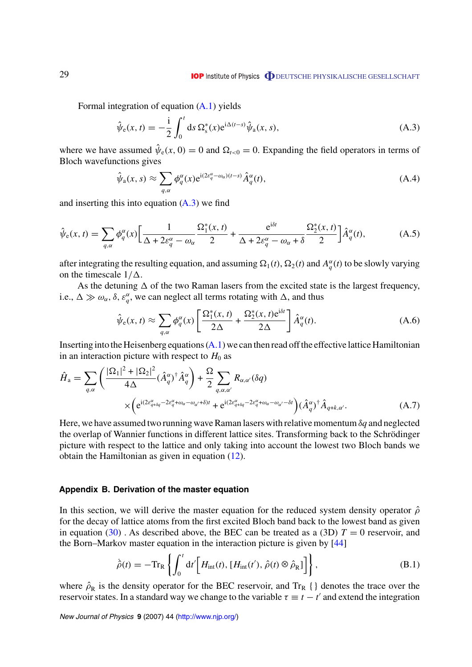<span id="page-28-0"></span>Formal integration of equation [\(A.1](#page-27-0)) yields

$$
\hat{\psi}_{e}(x,t) = -\frac{i}{2} \int_0^t ds \, \Omega_s^*(x) e^{i\Delta(t-s)} \hat{\psi}_a(x,s), \tag{A.3}
$$

where we have assumed  $\hat{\psi}_e(x, 0) = 0$  and  $\Omega_{t<0} = 0$ . Expanding the field operators in terms of Bloch wavefunctions gives

$$
\hat{\psi}_a(x,s) \approx \sum_{q,\alpha} \phi_q^{\alpha}(x) e^{i(2\varepsilon_q^{\alpha} - \omega_\alpha)(t-s)} \hat{A}_q^{\alpha}(t),
$$
\n(A.4)

and inserting this into equation  $(A.3)$  we find

$$
\hat{\psi}_e(x,t) = \sum_{q,\alpha} \phi_q^{\alpha}(x) \left[ \frac{1}{\Delta + 2\varepsilon_q^{\alpha} - \omega_\alpha} \frac{\Omega_1^*(x,t)}{2} + \frac{e^{i\delta t}}{\Delta + 2\varepsilon_q^{\alpha} - \omega_\alpha + \delta} \frac{\Omega_2^*(x,t)}{2} \right] \hat{A}_q^{\alpha}(t),\tag{A.5}
$$

after integrating the resulting equation, and assuming  $\Omega_1(t)$ ,  $\Omega_2(t)$  and  $A_q^{\alpha}(t)$  to be slowly varying on the timescale  $1/\Delta$ .

As the detuning  $\Delta$  of the two Raman lasers from the excited state is the largest frequency, i.e.,  $\Delta \gg \omega_{\alpha}$ ,  $\delta$ ,  $\varepsilon_{q}^{\alpha}$ , we can neglect all terms rotating with  $\Delta$ , and thus

$$
\hat{\psi}_e(x,t) \approx \sum_{q,\alpha} \phi_q^{\alpha}(x) \left[ \frac{\Omega_1^*(x,t)}{2\Delta} + \frac{\Omega_2^*(x,t)e^{i\delta t}}{2\Delta} \right] \hat{A}_q^{\alpha}(t).
$$
\n(A.6)

Inserting into the Heisenberg equations [\(A.1](#page-27-0)) we can then read off the effective lattice Hamiltonian in an interaction picture with respect to  $H_0$  as

$$
\hat{H}_{a} = \sum_{q,\alpha} \left( \frac{|\Omega_{1}|^{2} + |\Omega_{2}|^{2}}{4\Delta} (\hat{A}_{q}^{\alpha})^{\dagger} \hat{A}_{q}^{\alpha} \right) + \frac{\Omega}{2} \sum_{q,\alpha,\alpha'} R_{\alpha,\alpha'}(\delta q)
$$
\n
$$
\times \left( e^{i(2\varepsilon_{q+\delta q}^{\alpha} - 2\varepsilon_{q}^{\alpha} + \omega_{\alpha} - \omega_{\alpha'} + \delta)t} + e^{i(2\varepsilon_{q+\delta q}^{\alpha} - 2\varepsilon_{q}^{\alpha} + \omega_{\alpha} - \omega_{\alpha'} - \delta t} \right) (\hat{A}_{q}^{\alpha})^{\dagger} \hat{A}_{q+k,\alpha'}.
$$
\n(A.7)

Here, we have assumed two running wave Raman lasers with relative momentum*δq* and neglected the overlap of Wannier functions in different lattice sites. Transforming back to the Schrödinger picture with respect to the lattice and only taking into account the lowest two Bloch bands we obtain the Hamiltonian as given in equation ([12\)](#page-9-0).

#### **Appendix B. Derivation of the master equation**

In this section, we will derive the master equation for the reduced system density operator  $\hat{\rho}$ for the decay of lattice atoms from the first excited Bloch band back to the lowest band as given in equation ([30\)](#page-13-0). As described above, the BEC can be treated as a (3D)  $T = 0$  reservoir, and the Born–Markov master equation in the interaction picture is given by [\[44](#page-31-0)]

$$
\dot{\hat{\rho}}(t) = -\mathrm{Tr}_{\mathrm{R}}\left\{\int_0^t \mathrm{d}t' \bigg[H_{\mathrm{int}}(t), [H_{\mathrm{int}}(t'), \hat{\rho}(t) \otimes \hat{\rho}_{\mathrm{R}}]\bigg]\right\},\tag{B.1}
$$

where  $\hat{\rho}_R$  is the density operator for the BEC reservoir, and Tr<sub>R</sub> { } denotes the trace over the reservoir states. In a standard way we change to the variable  $\tau \equiv t - t'$  and extend the integration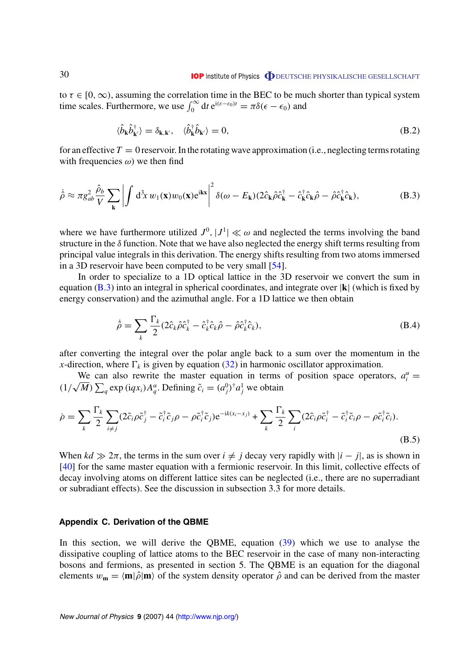<span id="page-29-0"></span>to  $\tau \in [0, \infty)$ , assuming the correlation time in the BEC to be much shorter than typical system time scales. Furthermore, we use  $\int_0^\infty dt \, e^{i(\varepsilon - \varepsilon_0)t} = \pi \delta(\varepsilon - \varepsilon_0)$  and

$$
\langle \hat{b}_{\mathbf{k}} \hat{b}_{\mathbf{k}'}^{\dagger} \rangle = \delta_{\mathbf{k}, \mathbf{k}'}, \quad \langle \hat{b}_{\mathbf{k}}^{\dagger} \hat{b}_{\mathbf{k}'} \rangle = 0, \tag{B.2}
$$

for an effective  $T = 0$  reservoir. In the rotating wave approximation (i.e., neglecting terms rotating with frequencies  $\omega$ ) we then find

$$
\dot{\hat{\rho}} \approx \pi g_{ab}^2 \frac{\hat{\rho}_b}{V} \sum_{\mathbf{k}} \left| \int d^3x \, w_1(\mathbf{x}) w_0(\mathbf{x}) e^{i\mathbf{k}\mathbf{x}} \right|^2 \delta(\omega - E_{\mathbf{k}}) (2\hat{c}_{\mathbf{k}} \hat{\rho} \hat{c}_{\mathbf{k}}^\dagger - \hat{c}_{\mathbf{k}}^\dagger \hat{c}_{\mathbf{k}} \hat{\rho} - \hat{\rho} \hat{c}_{\mathbf{k}}^\dagger \hat{c}_{\mathbf{k}}), \tag{B.3}
$$

where we have furthermore utilized  $J^0$ ,  $|J^1| \ll \omega$  and neglected the terms involving the band structure in the *δ* function. Note that we have also neglected the energy shift terms resulting from principal value integrals in this derivation. The energy shifts resulting from two atoms immersed in a 3D reservoir have been computed to be very small [[54\]](#page-31-0).

In order to specialize to a 1D optical lattice in the 3D reservoir we convert the sum in equation (B.3) into an integral in spherical coordinates, and integrate over |**k**| (which is fixed by energy conservation) and the azimuthal angle. For a 1D lattice we then obtain

$$
\dot{\hat{\rho}} = \sum_{k} \frac{\Gamma_k}{2} (2\hat{c}_k \hat{\rho} \hat{c}_k^{\dagger} - \hat{c}_k^{\dagger} \hat{c}_k \hat{\rho} - \hat{\rho} \hat{c}_k^{\dagger} \hat{c}_k),
$$
\n(B.4)

after converting the integral over the polar angle back to a sum over the momentum in the *x*-direction, where  $\Gamma_k$  is given by equation ([32\)](#page-13-0) in harmonic oscillator approximation.

We can also rewrite the master equation in terms of position space operators,  $a_i^{\alpha}$  =  $(1/\sqrt{M}) \sum_{q} \exp(iqx_i)A_q^{\alpha}$ . Defining  $\tilde{c}_i = (a_j^0)^{\dagger}a_j^1$  we obtain

$$
\dot{\rho} = \sum_{k} \frac{\Gamma_k}{2} \sum_{i \neq j} (2 \tilde{c}_i \rho \tilde{c}_j^{\dagger} - \tilde{c}_i^{\dagger} \tilde{c}_j \rho - \rho \tilde{c}_i^{\dagger} \tilde{c}_j) e^{-ik(x_i - x_j)} + \sum_{k} \frac{\Gamma_k}{2} \sum_{i} (2 \tilde{c}_i \rho \tilde{c}_i^{\dagger} - \tilde{c}_i^{\dagger} \tilde{c}_i \rho - \rho \tilde{c}_i^{\dagger} \tilde{c}_i).
$$
\n(B.5)

When  $kd \gg 2\pi$ , the terms in the sum over  $i \neq j$  decay very rapidly with  $|i - j|$ , as is shown in [[40\]](#page-31-0) for the same master equation with a fermionic reservoir. In this limit, collective effects of decay involving atoms on different lattice sites can be neglected (i.e., there are no superradiant or subradiant effects). See the discussion in subsection 3.3 for more details.

### **Appendix C. Derivation of the QBME**

In this section, we will derive the QBME, equation [\(39\)](#page-19-0) which we use to analyse the dissipative coupling of lattice atoms to the BEC reservoir in the case of many non-interacting bosons and fermions, as presented in section 5. The QBME is an equation for the diagonal elements  $w_m = \langle m|\hat{\rho}|m\rangle$  of the system density operator  $\hat{\rho}$  and can be derived from the master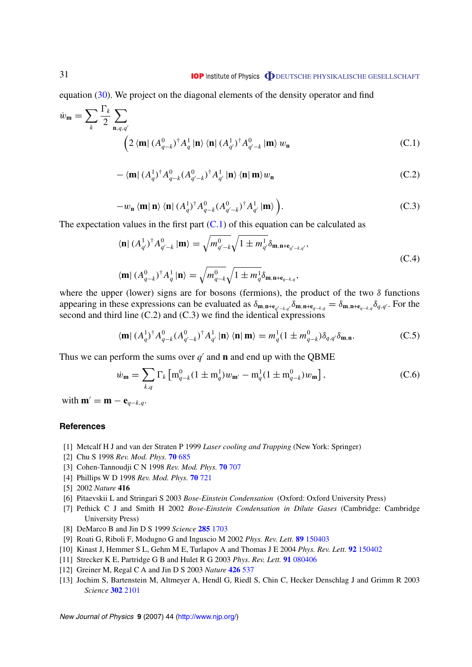#### <span id="page-30-0"></span>equation [\(30](#page-13-0)). We project on the diagonal elements of the density operator and find

$$
\dot{w}_{\mathbf{m}} = \sum_{k} \frac{\Gamma_{k}}{2} \sum_{\mathbf{n}, q, q'} \left\langle 2 \left\langle \mathbf{m} \right| (A_{q-k}^{0})^{\dagger} A_{q}^{1} | \mathbf{n} \right\rangle \langle \mathbf{n} | (A_{q'}^{1})^{\dagger} A_{q'-k}^{0} | \mathbf{m} \rangle w_{\mathbf{n}} \right. \tag{C.1}
$$

$$
-\langle \mathbf{m} | (A_q^1)^{\dagger} A_{q-k}^0 (A_{q'-k}^0)^{\dagger} A_{q'}^1 | \mathbf{n} \rangle \langle \mathbf{n} | \mathbf{m} \rangle w_{\mathbf{n}} \qquad (C.2)
$$

$$
-w_{\mathbf{n}} \langle \mathbf{m} | \mathbf{n} \rangle \langle \mathbf{n} | (A_q^1)^{\dagger} A_{q-k}^0 (A_{q'-k}^0)^{\dagger} A_{q'}^1 | \mathbf{m} \rangle \bigg).
$$
 (C.3)

The expectation values in the first part  $(C.1)$  of this equation can be calculated as

$$
\langle \mathbf{n} | (A_{q'}^1)^{\dagger} A_{q'-k}^0 | \mathbf{m} \rangle = \sqrt{m_{q'-k}^0} \sqrt{1 \pm m_{q'}^1} \delta_{\mathbf{m}, \mathbf{n} + \mathbf{e}_{q'-k,q'}},
$$
  
\n
$$
\langle \mathbf{m} | (A_{q-k}^0)^{\dagger} A_q^1 | \mathbf{n} \rangle = \sqrt{m_{q-k}^0} \sqrt{1 \pm m_q^1} \delta_{\mathbf{m}, \mathbf{n} + \mathbf{e}_{q-k,q}},
$$
\n(C.4)

where the upper (lower) signs are for bosons (fermions), the product of the two  $\delta$  functions appearing in these expressions can be evaluated as  $\delta_{m,n+e_{q'-k,q}}\delta_{m,n+e_{q-k,q}} = \delta_{m,n+e_{q-k,q}}\delta_{q,q'}$ . For the second and third line  $(C.2)$  and  $(C.3)$  we find the identical expressions

$$
\langle \mathbf{m} | (A_q^1)^{\dagger} A_{q-k}^0 (A_{q'-k}^0)^{\dagger} A_{q'}^1 | \mathbf{n} \rangle \langle \mathbf{n} | \mathbf{m} \rangle = m_q^1 (1 \pm m_{q-k}^0) \delta_{q,q'} \delta_{\mathbf{m},\mathbf{n}}.
$$
 (C.5)

Thus we can perform the sums over  $q'$  and **n** and end up with the QBME

$$
\dot{w}_{\mathbf{m}} = \sum_{k,q} \Gamma_k \left[ m_{q-k}^0 (1 \pm m_q^1) w_{\mathbf{m}'} - m_q^1 (1 \pm m_{q-k}^0) w_{\mathbf{m}} \right],\tag{C.6}
$$

with  $\mathbf{m}' = \mathbf{m} - \mathbf{e}_{q-k,q}$ .

#### **References**

- [1] Metcalf H J and van der Straten P 1999 *Laser cooling and Trapping* (New York: Springer)
- [2] Chu S 1998 *Rev. Mod. Phys.* **70** [685](http://dx.doi.org/10.1103/RevModPhys.70.685)
- [3] Cohen-Tannoudji C N 1998 *Rev. Mod. Phys.* **70** [707](http://dx.doi.org/10.1103/RevModPhys.70.707)
- [4] Phillips W D 1998 *Rev. Mod. Phys.* **70** [721](http://dx.doi.org/10.1103/RevModPhys.70.721)
- [5] 2002 *Nature* **416**
- [6] Pitaevskii L and Stringari S 2003 *Bose-Einstein Condensation* (Oxford: Oxford University Press)
- [7] Pethick C J and Smith H 2002 *Bose-Einstein Condensation in Dilute Gases* (Cambridge: Cambridge University Press)
- [8] DeMarco B and Jin D S 1999 *Science* **285** [1703](http://dx.doi.org/10.1126/science.285.5434.1703)
- [9] Roati G, Riboli F, Modugno G and Inguscio M 2002 *Phys. Rev. Lett.* **89** [150403](http://dx.doi.org/10.1103/PhysRevLett.89.150403)
- [10] Kinast J, Hemmer S L, Gehm M E, Turlapov A and Thomas J E 2004 *Phys. Rev. Lett.* **92** [150402](http://dx.doi.org/10.1103/PhysRevLett.92.150402)
- [11] Strecker K E, Partridge G B and Hulet R G 2003 *Phys. Rev. Lett.* **91** [080406](http://dx.doi.org/10.1103/PhysRevLett.91.080406)
- [12] Greiner M, Regal C A and Jin D S 2003 *Nature* **[426](http://dx.doi.org/10.1038/nature02199)** 537
- [13] Jochim S, Bartenstein M, Altmeyer A, Hendl G, Riedl S, Chin C, Hecker Denschlag J and Grimm R 2003 *Science* **302** [2101](http://dx.doi.org/10.1126/science.1093280)